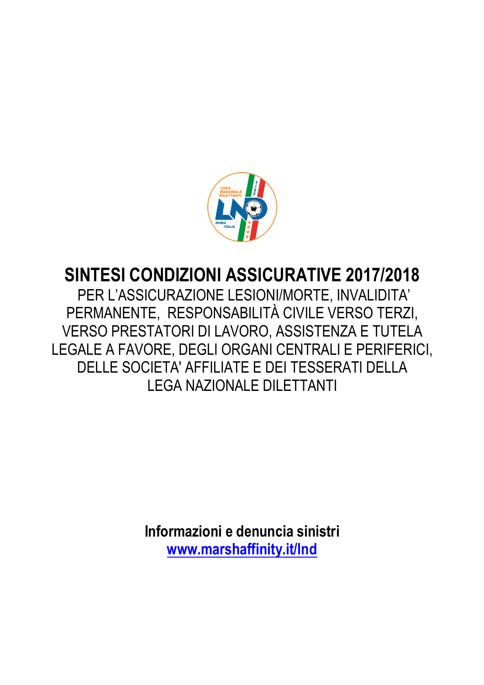

# **SINTESI CONDIZIONI ASSICURATIVE 2017/2018**

 PER L'ASSICURAZIONE LESIONI/MORTE, INVALIDITA' PERMANENTE, RESPONSABILITÀ CIVILE VERSO TERZI, VERSO PRESTATORI DI LAVORO, ASSISTENZA E TUTELA LEGALE A FAVORE, DEGLI ORGANI CENTRALI E PERIFERICI, DELLE SOCIETA' AFFILIATE E DEI TESSERATI DELLA LEGA NAZIONALE DILETTANTI

> **Informazioni e denuncia sinistri www.marshaffinity.it/lnd**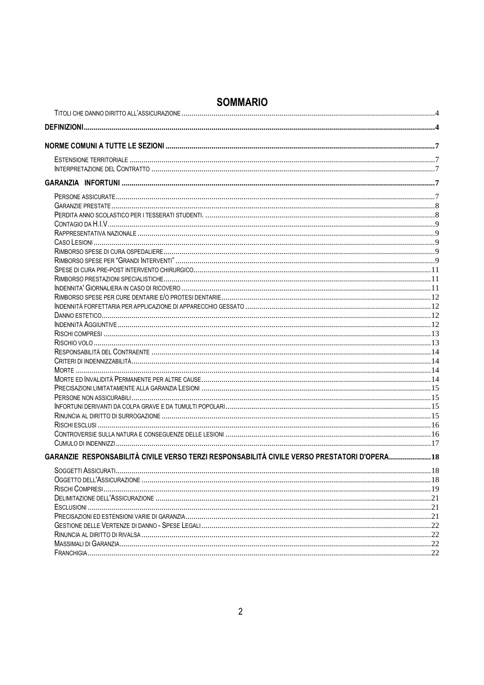| GARANZIE RESPONSABILITÀ CIVILE VERSO TERZI RESPONSABILITÀ CIVILE VERSO PRESTATORI D'OPERA18 |    |
|---------------------------------------------------------------------------------------------|----|
|                                                                                             |    |
|                                                                                             |    |
|                                                                                             |    |
|                                                                                             |    |
|                                                                                             |    |
|                                                                                             |    |
|                                                                                             |    |
|                                                                                             |    |
|                                                                                             |    |
|                                                                                             | 22 |

# **SOMMARIO**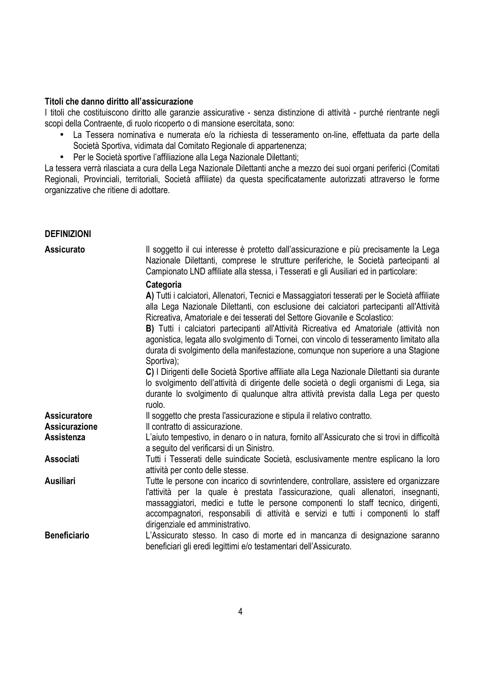### **Titoli che danno diritto all'assicurazione**

I titoli che costituiscono diritto alle garanzie assicurative - senza distinzione di attività - purché rientrante negli scopi della Contraente, di ruolo ricoperto o di mansione esercitata, sono:

- La Tessera nominativa e numerata e/o la richiesta di tesseramento on-line, effettuata da parte della Società Sportiva, vidimata dal Comitato Regionale di appartenenza;
- Per le Società sportive l'affiliazione alla Lega Nazionale Dilettanti;

La tessera verrà rilasciata a cura della Lega Nazionale Dilettanti anche a mezzo dei suoi organi periferici (Comitati Regionali, Provinciali, territoriali, Società affiliate) da questa specificatamente autorizzati attraverso le forme organizzative che ritiene di adottare.

#### **DEFINIZIONI**

| <b>Assicurato</b>   | Il soggetto il cui interesse è protetto dall'assicurazione e più precisamente la Lega<br>Nazionale Dilettanti, comprese le strutture periferiche, le Società partecipanti al<br>Campionato LND affiliate alla stessa, i Tesserati e gli Ausiliari ed in particolare:                                                                                                                                                                                                                                                                                                         |
|---------------------|------------------------------------------------------------------------------------------------------------------------------------------------------------------------------------------------------------------------------------------------------------------------------------------------------------------------------------------------------------------------------------------------------------------------------------------------------------------------------------------------------------------------------------------------------------------------------|
|                     | Categoria<br>A) Tutti i calciatori, Allenatori, Tecnici e Massaggiatori tesserati per le Società affiliate<br>alla Lega Nazionale Dilettanti, con esclusione dei calciatori partecipanti all'Attività<br>Ricreativa, Amatoriale e dei tesserati del Settore Giovanile e Scolastico:<br>B) Tutti i calciatori partecipanti all'Attività Ricreativa ed Amatoriale (attività non<br>agonistica, legata allo svolgimento di Tornei, con vincolo di tesseramento limitato alla<br>durata di svolgimento della manifestazione, comunque non superiore a una Stagione<br>Sportiva); |
|                     | C) I Dirigenti delle Società Sportive affiliate alla Lega Nazionale Dilettanti sia durante<br>lo svolgimento dell'attività di dirigente delle società o degli organismi di Lega, sia<br>durante lo svolgimento di qualunque altra attività prevista dalla Lega per questo<br>ruolo.                                                                                                                                                                                                                                                                                          |
| <b>Assicuratore</b> | Il soggetto che presta l'assicurazione e stipula il relativo contratto.                                                                                                                                                                                                                                                                                                                                                                                                                                                                                                      |
| Assicurazione       | Il contratto di assicurazione.                                                                                                                                                                                                                                                                                                                                                                                                                                                                                                                                               |
| Assistenza          | L'aiuto tempestivo, in denaro o in natura, fornito all'Assicurato che si trovi in difficoltà<br>a seguito del verificarsi di un Sinistro.                                                                                                                                                                                                                                                                                                                                                                                                                                    |
| <b>Associati</b>    | Tutti i Tesserati delle suindicate Società, esclusivamente mentre esplicano la loro<br>attività per conto delle stesse.                                                                                                                                                                                                                                                                                                                                                                                                                                                      |
| <b>Ausiliari</b>    | Tutte le persone con incarico di sovrintendere, controllare, assistere ed organizzare<br>l'attività per la quale è prestata l'assicurazione, quali allenatori, insegnanti,<br>massaggiatori, medici e tutte le persone componenti lo staff tecnico, dirigenti,<br>accompagnatori, responsabili di attività e servizi e tutti i componenti lo staff<br>dirigenziale ed amministrativo.                                                                                                                                                                                        |
| <b>Beneficiario</b> | L'Assicurato stesso. In caso di morte ed in mancanza di designazione saranno<br>beneficiari gli eredi legittimi e/o testamentari dell'Assicurato.                                                                                                                                                                                                                                                                                                                                                                                                                            |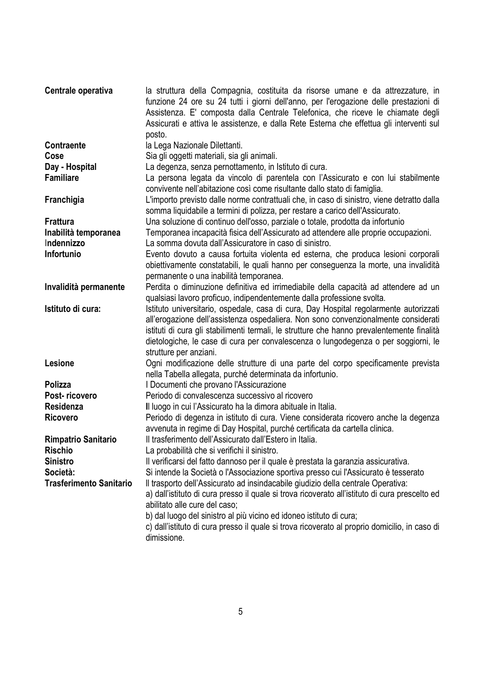| Centrale operativa             | la struttura della Compagnia, costituita da risorse umane e da attrezzature, in                |
|--------------------------------|------------------------------------------------------------------------------------------------|
|                                | funzione 24 ore su 24 tutti i giorni dell'anno, per l'erogazione delle prestazioni di          |
|                                | Assistenza. E' composta dalla Centrale Telefonica, che riceve le chiamate degli                |
|                                | Assicurati e attiva le assistenze, e dalla Rete Esterna che effettua gli interventi sul        |
|                                | posto.                                                                                         |
| <b>Contraente</b>              | la Lega Nazionale Dilettanti.                                                                  |
| Cose                           | Sia gli oggetti materiali, sia gli animali.                                                    |
| Day - Hospital                 | La degenza, senza pernottamento, in Istituto di cura.                                          |
| <b>Familiare</b>               | La persona legata da vincolo di parentela con l'Assicurato e con lui stabilmente               |
|                                | convivente nell'abitazione così come risultante dallo stato di famiglia.                       |
| Franchigia                     | L'importo previsto dalle norme contrattuali che, in caso di sinistro, viene detratto dalla     |
|                                | somma liquidabile a termini di polizza, per restare a carico dell'Assicurato.                  |
| <b>Frattura</b>                | Una soluzione di continuo dell'osso, parziale o totale, prodotta da infortunio                 |
| Inabilità temporanea           | Temporanea incapacità fisica dell'Assicurato ad attendere alle proprie occupazioni.            |
| Indennizzo                     | La somma dovuta dall'Assicuratore in caso di sinistro.                                         |
| Infortunio                     | Evento dovuto a causa fortuita violenta ed esterna, che produca lesioni corporali              |
|                                | obiettivamente constatabili, le quali hanno per conseguenza la morte, una invalidità           |
|                                | permanente o una inabilità temporanea.                                                         |
| Invalidità permanente          | Perdita o diminuzione definitiva ed irrimediabile della capacità ad attendere ad un            |
|                                | qualsiasi lavoro proficuo, indipendentemente dalla professione svolta.                         |
| Istituto di cura:              | Istituto universitario, ospedale, casa di cura, Day Hospital regolarmente autorizzati          |
|                                | all'erogazione dell'assistenza ospedaliera. Non sono convenzionalmente considerati             |
|                                | istituti di cura gli stabilimenti termali, le strutture che hanno prevalentemente finalità     |
|                                | dietologiche, le case di cura per convalescenza o lungodegenza o per soggiorni, le             |
|                                | strutture per anziani.                                                                         |
| Lesione                        | Ogni modificazione delle strutture di una parte del corpo specificamente prevista              |
|                                | nella Tabella allegata, purché determinata da infortunio.                                      |
| <b>Polizza</b>                 | I Documenti che provano l'Assicurazione                                                        |
| Post-ricovero                  | Periodo di convalescenza successivo al ricovero                                                |
| Residenza                      | Il luogo in cui l'Assicurato ha la dimora abituale in Italia.                                  |
| <b>Ricovero</b>                | Periodo di degenza in istituto di cura. Viene considerata ricovero anche la degenza            |
|                                | avvenuta in regime di Day Hospital, purché certificata da cartella clinica.                    |
| <b>Rimpatrio Sanitario</b>     | Il trasferimento dell'Assicurato dall'Estero in Italia.                                        |
| <b>Rischio</b>                 | La probabilità che si verifichi il sinistro.                                                   |
| <b>Sinistro</b>                | Il verificarsi del fatto dannoso per il quale è prestata la garanzia assicurativa.             |
| Società:                       | Si intende la Società o l'Associazione sportiva presso cui l'Assicurato è tesserato            |
| <b>Trasferimento Sanitario</b> | Il trasporto dell'Assicurato ad insindacabile giudizio della centrale Operativa:               |
|                                | a) dall'istituto di cura presso il quale si trova ricoverato all'istituto di cura prescelto ed |
|                                | abilitato alle cure del caso;                                                                  |
|                                | b) dal luogo del sinistro al più vicino ed idoneo istituto di cura;                            |
|                                | c) dall'istituto di cura presso il quale si trova ricoverato al proprio domicilio, in caso di  |
|                                | dimissione.                                                                                    |
|                                |                                                                                                |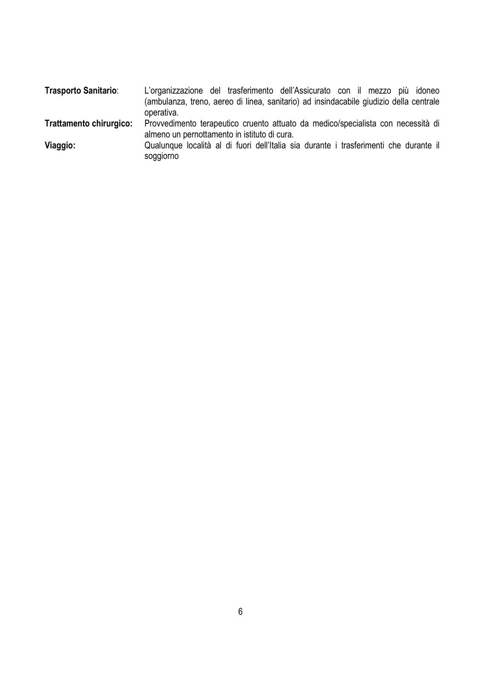| <b>Trasporto Sanitario:</b>    | L'organizzazione del trasferimento dell'Assicurato con il mezzo più idoneo                                                       |
|--------------------------------|----------------------------------------------------------------------------------------------------------------------------------|
|                                | (ambulanza, treno, aereo di linea, sanitario) ad insindacabile giudizio della centrale                                           |
|                                | operativa.                                                                                                                       |
| <b>Trattamento chirurgico:</b> | Provvedimento terapeutico cruento attuato da medico/specialista con necessità di<br>almeno un pernottamento in istituto di cura. |
| Viaggio:                       | Qualunque località al di fuori dell'Italia sia durante i trasferimenti che durante il<br>soggiorno                               |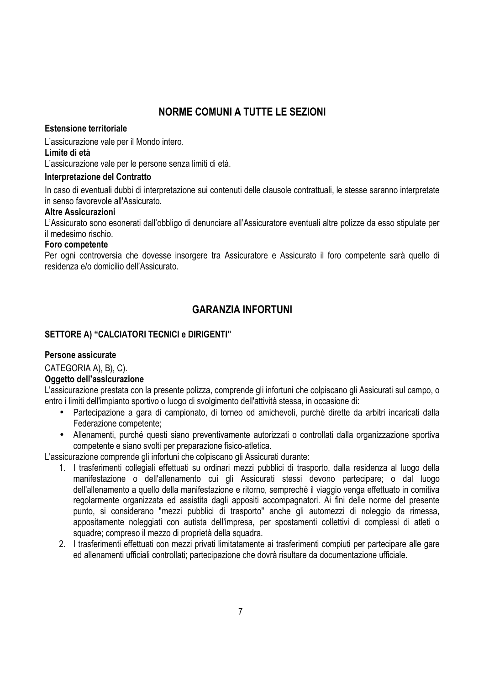# **NORME COMUNI A TUTTE LE SEZIONI**

### **Estensione territoriale**

L'assicurazione vale per il Mondo intero.

### **Limite di età**

L'assicurazione vale per le persone senza limiti di età.

### **Interpretazione del Contratto**

In caso di eventuali dubbi di interpretazione sui contenuti delle clausole contrattuali, le stesse saranno interpretate in senso favorevole all'Assicurato.

### **Altre Assicurazioni**

L'Assicurato sono esonerati dall'obbligo di denunciare all'Assicuratore eventuali altre polizze da esso stipulate per il medesimo rischio.

### **Foro competente**

Per ogni controversia che dovesse insorgere tra Assicuratore e Assicurato il foro competente sarà quello di residenza e/o domicilio dell'Assicurato.

# **GARANZIA INFORTUNI**

### **SETTORE A) "CALCIATORI TECNICI e DIRIGENTI"**

### **Persone assicurate**

CATEGORIA A), B), C).

### **Oggetto dell'assicurazione**

L'assicurazione prestata con la presente polizza, comprende gli infortuni che colpiscano gli Assicurati sul campo, o entro i limiti dell'impianto sportivo o luogo di svolgimento dell'attività stessa, in occasione di:

- Partecipazione a gara di campionato, di torneo od amichevoli, purché dirette da arbitri incaricati dalla Federazione competente;
- Allenamenti, purché questi siano preventivamente autorizzati o controllati dalla organizzazione sportiva competente e siano svolti per preparazione fisico-atletica.

L'assicurazione comprende gli infortuni che colpiscano gli Assicurati durante:

- 1. I trasferimenti collegiali effettuati su ordinari mezzi pubblici di trasporto, dalla residenza al luogo della manifestazione o dell'allenamento cui gli Assicurati stessi devono partecipare; o dal luogo dell'allenamento a quello della manifestazione e ritorno, sempreché il viaggio venga effettuato in comitiva regolarmente organizzata ed assistita dagli appositi accompagnatori. Ai fini delle norme del presente punto, si considerano "mezzi pubblici di trasporto" anche gli automezzi di noleggio da rimessa, appositamente noleggiati con autista dell'impresa, per spostamenti collettivi di complessi di atleti o squadre; compreso il mezzo di proprietà della squadra.
- 2. I trasferimenti effettuati con mezzi privati limitatamente ai trasferimenti compiuti per partecipare alle gare ed allenamenti ufficiali controllati; partecipazione che dovrà risultare da documentazione ufficiale.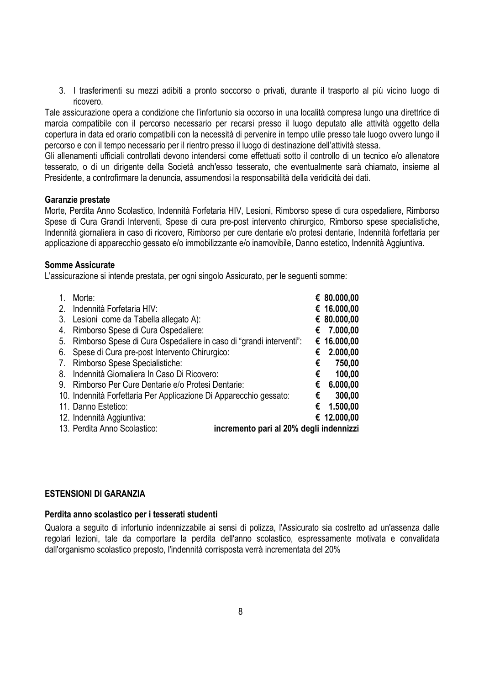3. I trasferimenti su mezzi adibiti a pronto soccorso o privati, durante il trasporto al più vicino luogo di ricovero.

Tale assicurazione opera a condizione che l'infortunio sia occorso in una località compresa lungo una direttrice di marcia compatibile con il percorso necessario per recarsi presso il luogo deputato alle attività oggetto della copertura in data ed orario compatibili con la necessità di pervenire in tempo utile presso tale luogo ovvero lungo il percorso e con il tempo necessario per il rientro presso il luogo di destinazione dell'attività stessa.

Gli allenamenti ufficiali controllati devono intendersi come effettuati sotto il controllo di un tecnico e/o allenatore tesserato, o di un dirigente della Società anch'esso tesserato, che eventualmente sarà chiamato, insieme al Presidente, a controfirmare la denuncia, assumendosi la responsabilità della veridicità dei dati.

#### **Garanzie prestate**

Morte, Perdita Anno Scolastico, Indennità Forfetaria HIV, Lesioni, Rimborso spese di cura ospedaliere, Rimborso Spese di Cura Grandi Interventi, Spese di cura pre-post intervento chirurgico, Rimborso spese specialistiche, Indennità giornaliera in caso di ricovero, Rimborso per cure dentarie e/o protesi dentarie, Indennità forfettaria per applicazione di apparecchio gessato e/o immobilizzante e/o inamovibile, Danno estetico, Indennità Aggiuntiva.

### **Somme Assicurate**

L'assicurazione si intende prestata, per ogni singolo Assicurato, per le seguenti somme:

| $\mathbf{1}$ . | Morte:                                                                  |   | € 80.000,00 |
|----------------|-------------------------------------------------------------------------|---|-------------|
| 2.             | Indennità Forfetaria HIV:                                               |   | € 16.000,00 |
| 3.             | Lesioni come da Tabella allegato A):                                    |   | € 80.000,00 |
| 4.             | Rimborso Spese di Cura Ospedaliere:                                     | € | 7.000,00    |
| 5.             | Rimborso Spese di Cura Ospedaliere in caso di "grandi interventi":      |   | € 16.000,00 |
| 6.             | Spese di Cura pre-post Intervento Chirurgico:                           | € | 2.000,00    |
| 7.             | Rimborso Spese Specialistiche:                                          | € | 750,00      |
| 8.             | Indennità Giornaliera In Caso Di Ricovero:                              | € | 100,00      |
| 9.             | Rimborso Per Cure Dentarie e/o Protesi Dentarie:                        | € | 6.000,00    |
|                | 10. Indennità Forfettaria Per Applicazione Di Apparecchio gessato:      | € | 300,00      |
|                | 11. Danno Estetico:                                                     | € | 1.500,00    |
|                | 12. Indennità Aggiuntiva:                                               |   | € 12.000,00 |
|                | 13. Perdita Anno Scolastico:<br>incremento pari al 20% degli indennizzi |   |             |

#### **ESTENSIONI DI GARANZIA**

#### **Perdita anno scolastico per i tesserati studenti**

Qualora a seguito di infortunio indennizzabile ai sensi di polizza, l'Assicurato sia costretto ad un'assenza dalle regolari lezioni, tale da comportare la perdita dell'anno scolastico, espressamente motivata e convalidata dall'organismo scolastico preposto, l'indennità corrisposta verrà incrementata del 20%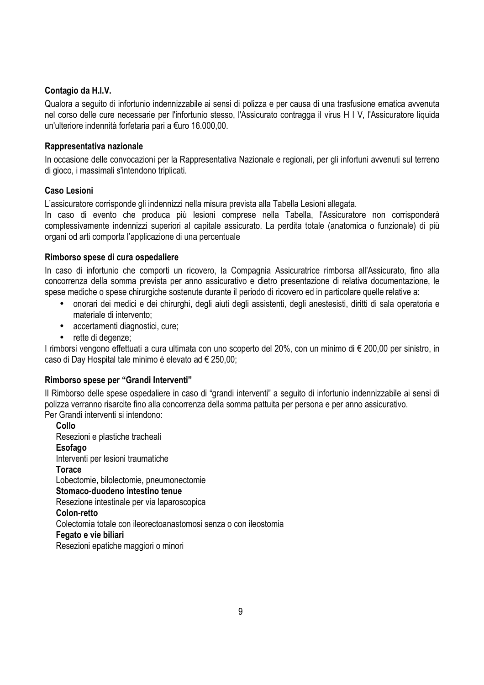### **Contagio da H.I.V.**

Qualora a seguito di infortunio indennizzabile ai sensi di polizza e per causa di una trasfusione ematica avvenuta nel corso delle cure necessarie per l'infortunio stesso, l'Assicurato contragga il virus H I V, l'Assicuratore liquida un'ulteriore indennità forfetaria pari a €uro 16.000,00.

### **Rappresentativa nazionale**

In occasione delle convocazioni per la Rappresentativa Nazionale e regionali, per gli infortuni avvenuti sul terreno di gioco, i massimali s'intendono triplicati.

### **Caso Lesioni**

L'assicuratore corrisponde gli indennizzi nella misura prevista alla Tabella Lesioni allegata.

In caso di evento che produca più lesioni comprese nella Tabella, l'Assicuratore non corrisponderà complessivamente indennizzi superiori al capitale assicurato. La perdita totale (anatomica o funzionale) di più organi od arti comporta l'applicazione di una percentuale

### **Rimborso spese di cura ospedaliere**

In caso di infortunio che comporti un ricovero, la Compagnia Assicuratrice rimborsa all'Assicurato, fino alla concorrenza della somma prevista per anno assicurativo e dietro presentazione di relativa documentazione, le spese mediche o spese chirurgiche sostenute durante il periodo di ricovero ed in particolare quelle relative a:

- onorari dei medici e dei chirurghi, degli aiuti degli assistenti, degli anestesisti, diritti di sala operatoria e materiale di intervento;
- accertamenti diagnostici, cure;
- rette di degenze;

I rimborsi vengono effettuati a cura ultimata con uno scoperto del 20%, con un minimo di € 200,00 per sinistro, in caso di Day Hospital tale minimo è elevato ad € 250,00;

### **Rimborso spese per "Grandi Interventi"**

Il Rimborso delle spese ospedaliere in caso di "grandi interventi" a seguito di infortunio indennizzabile ai sensi di polizza verranno risarcite fino alla concorrenza della somma pattuita per persona e per anno assicurativo. Per Grandi interventi si intendono:

**Collo**  Resezioni e plastiche tracheali **Esofago**  Interventi per lesioni traumatiche **Torace**  Lobectomie, bilolectomie, pneumonectomie **Stomaco-duodeno intestino tenue**  Resezione intestinale per via laparoscopica **Colon-retto**  Colectomia totale con ileorectoanastomosi senza o con ileostomia **Fegato e vie biliari**  Resezioni epatiche maggiori o minori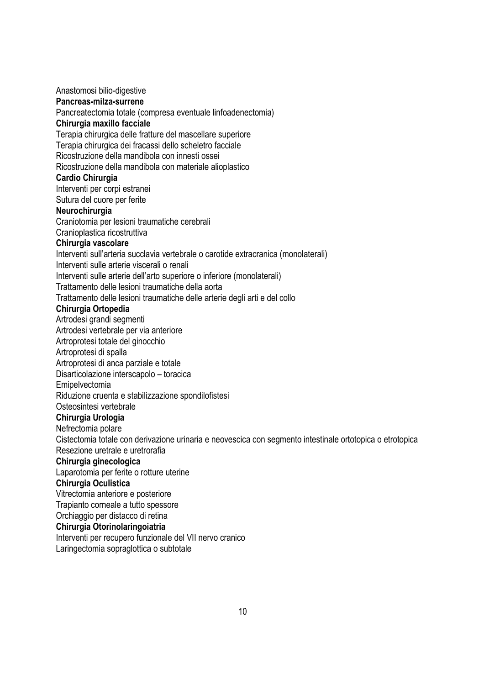Anastomosi bilio-digestive **Pancreas-milza-surrene**  Pancreatectomia totale (compresa eventuale linfoadenectomia) **Chirurgia maxillo facciale**  Terapia chirurgica delle fratture del mascellare superiore Terapia chirurgica dei fracassi dello scheletro facciale Ricostruzione della mandibola con innesti ossei Ricostruzione della mandibola con materiale alioplastico **Cardio Chirurgia**  Interventi per corpi estranei Sutura del cuore per ferite **Neurochirurgia**  Craniotomia per lesioni traumatiche cerebrali Cranioplastica ricostruttiva **Chirurgia vascolare**  Interventi sull'arteria succlavia vertebrale o carotide extracranica (monolaterali) Interventi sulle arterie viscerali o renali Interventi sulle arterie dell'arto superiore o inferiore (monolaterali) Trattamento delle lesioni traumatiche della aorta Trattamento delle lesioni traumatiche delle arterie degli arti e del collo **Chirurgia Ortopedia**  Artrodesi grandi segmenti Artrodesi vertebrale per via anteriore Artroprotesi totale del ginocchio Artroprotesi di spalla Artroprotesi di anca parziale e totale Disarticolazione interscapolo – toracica Emipelvectomia Riduzione cruenta e stabilizzazione spondilofistesi Osteosintesi vertebrale **Chirurgia Urologia**  Nefrectomia polare Cistectomia totale con derivazione urinaria e neovescica con segmento intestinale ortotopica o etrotopica Resezione uretrale e uretrorafia **Chirurgia ginecologica**  Laparotomia per ferite o rotture uterine **Chirurgia Oculistica**  Vitrectomia anteriore e posteriore Trapianto corneale a tutto spessore Orchiaggio per distacco di retina **Chirurgia Otorinolaringoiatria**  Interventi per recupero funzionale del VII nervo cranico Laringectomia sopraglottica o subtotale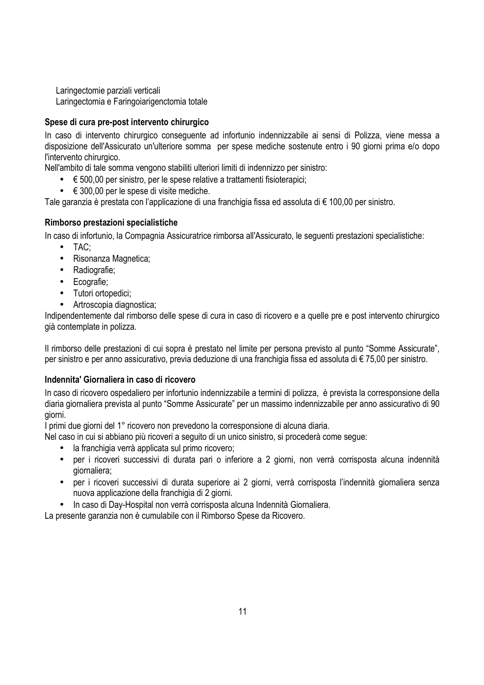Laringectomie parziali verticali Laringectomia e Faringoiarigenctomia totale

### **Spese di cura pre-post intervento chirurgico**

In caso di intervento chirurgico conseguente ad infortunio indennizzabile ai sensi di Polizza, viene messa a disposizione dell'Assicurato un'ulteriore somma per spese mediche sostenute entro i 90 giorni prima e/o dopo l'intervento chirurgico.

Nell'ambito di tale somma vengono stabiliti ulteriori limiti di indennizzo per sinistro:

- € 500,00 per sinistro, per le spese relative a trattamenti fisioterapici;
- $\bullet \quad \in 300,00$  per le spese di visite mediche.

Tale garanzia è prestata con l'applicazione di una franchigia fissa ed assoluta di € 100,00 per sinistro.

### **Rimborso prestazioni specialistiche**

In caso di infortunio, la Compagnia Assicuratrice rimborsa all'Assicurato, le seguenti prestazioni specialistiche:

- TAC;
- Risonanza Magnetica;
- Radiografie;
- Ecografie;
- Tutori ortopedici;
- Artroscopia diagnostica;

Indipendentemente dal rimborso delle spese di cura in caso di ricovero e a quelle pre e post intervento chirurgico già contemplate in polizza.

Il rimborso delle prestazioni di cui sopra è prestato nel limite per persona previsto al punto "Somme Assicurate", per sinistro e per anno assicurativo, previa deduzione di una franchigia fissa ed assoluta di € 75,00 per sinistro.

### **Indennita' Giornaliera in caso di ricovero**

In caso di ricovero ospedaliero per infortunio indennizzabile a termini di polizza, è prevista la corresponsione della diaria giornaliera prevista al punto "Somme Assicurate" per un massimo indennizzabile per anno assicurativo di 90 giorni.

I primi due giorni del 1° ricovero non prevedono la corresponsione di alcuna diaria.

Nel caso in cui si abbiano più ricoveri a seguito di un unico sinistro, si procederà come segue:

- la franchigia verrà applicata sul primo ricovero;
- per i ricoveri successivi di durata pari o inferiore a 2 giorni, non verrà corrisposta alcuna indennità giornaliera;
- per i ricoveri successivi di durata superiore ai 2 giorni, verrà corrisposta l'indennità giornaliera senza nuova applicazione della franchigia di 2 giorni.
- In caso di Day-Hospital non verrà corrisposta alcuna Indennità Giornaliera.

La presente garanzia non è cumulabile con il Rimborso Spese da Ricovero.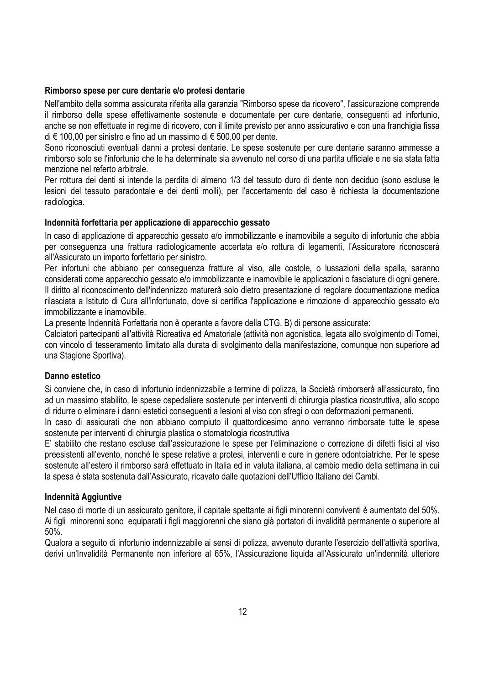#### **Rimborso spese per cure dentarie e/o protesi dentarie**

Nell'ambito della somma assicurata riferita alla garanzia "Rimborso spese da ricovero", l'assicurazione comprende il rimborso delle spese effettivamente sostenute e documentate per cure dentarie, conseguenti ad infortunio, anche se non effettuate in regime di ricovero, con il limite previsto per anno assicurativo e con una franchigia fissa di € 100,00 per sinistro e fino ad un massimo di € 500,00 per dente.

Sono riconosciuti eventuali danni a protesi dentarie. Le spese sostenute per cure dentarie saranno ammesse a rimborso solo se l'infortunio che le ha determinate sia avvenuto nel corso di una partita ufficiale e ne sia stata fatta menzione nel referto arbitrale.

Per rottura dei denti si intende la perdita di almeno 1/3 del tessuto duro di dente non deciduo (sono escluse le lesioni del tessuto paradontale e dei denti molli), per l'accertamento del caso è richiesta la documentazione radiologica.

### **Indennità forfettaria per applicazione di apparecchio gessato**

In caso di applicazione di apparecchio gessato e/o immobilizzante e inamovibile a seguito di infortunio che abbia per conseguenza una frattura radiologicamente accertata e/o rottura di legamenti, l'Assicuratore riconoscerà all'Assicurato un importo forfettario per sinistro.

Per infortuni che abbiano per conseguenza fratture al viso, alle costole, o lussazioni della spalla, saranno considerati come apparecchio gessato e/o immobilizzante e inamovibile le applicazioni o fasciature di ogni genere. Il diritto al riconoscimento dell'indennizzo maturerà solo dietro presentazione di regolare documentazione medica rilasciata a Istituto di Cura all'infortunato, dove si certifica l'applicazione e rimozione di apparecchio gessato e/o immobilizzante e inamovibile.

La presente Indennità Forfettaria non è operante a favore della CTG. B) di persone assicurate:

Calciatori partecipanti all'attività Ricreativa ed Amatoriale (attività non agonistica, legata allo svolgimento di Tornei, con vincolo di tesseramento limitato alla durata di svolgimento della manifestazione, comunque non superiore ad una Stagione Sportiva).

### **Danno estetico**

Si conviene che, in caso di infortunio indennizzabile a termine di polizza, la Società rimborserà all'assicurato, fino ad un massimo stabilito, le spese ospedaliere sostenute per interventi di chirurgia plastica ricostruttiva, allo scopo di ridurre o eliminare i danni estetici conseguenti a lesioni al viso con sfregi o con deformazioni permanenti.

In caso di assicurati che non abbiano compiuto il quattordicesimo anno verranno rimborsate tutte le spese sostenute per interventi di chirurgia plastica o stomatologia ricostruttiva

E' stabilito che restano escluse dall'assicurazione le spese per l'eliminazione o correzione di difetti fisici al viso preesistenti all'evento, nonché le spese relative a protesi, interventi e cure in genere odontoiatriche. Per le spese sostenute all'estero il rimborso sarà effettuato in Italia ed in valuta italiana, al cambio medio della settimana in cui la spesa è stata sostenuta dall'Assicurato, ricavato dalle quotazioni dell'Ufficio Italiano dei Cambi.

### **Indennità Aggiuntive**

Nel caso di morte di un assicurato genitore, il capitale spettante ai figli minorenni conviventi è aumentato del 50%. Ai figli minorenni sono equiparati i figli maggiorenni che siano già portatori di invalidità permanente o superiore al 50%.

Qualora a seguito di infortunio indennizzabile ai sensi di polizza, avvenuto durante l'esercizio dell'attività sportiva, derivi un'Invalidità Permanente non inferiore al 65%, l'Assicurazione liquida all'Assicurato un'indennità ulteriore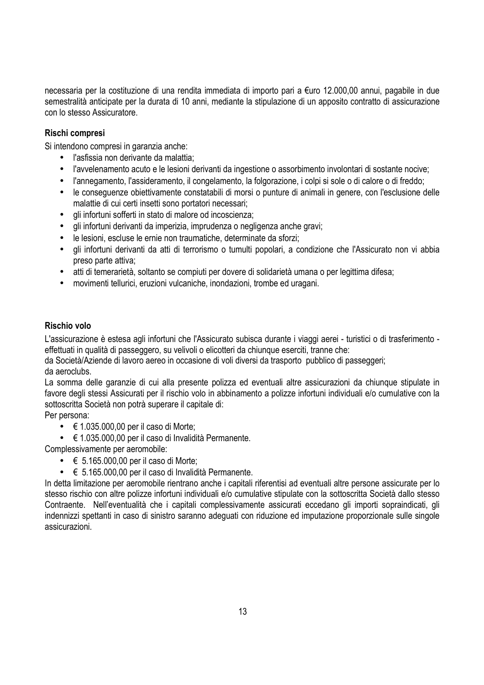necessaria per la costituzione di una rendita immediata di importo pari a €uro 12.000,00 annui, pagabile in due semestralità anticipate per la durata di 10 anni, mediante la stipulazione di un apposito contratto di assicurazione con lo stesso Assicuratore.

### **Rischi compresi**

Si intendono compresi in garanzia anche:

- l'asfissia non derivante da malattia;
- l'avvelenamento acuto e le lesioni derivanti da ingestione o assorbimento involontari di sostante nocive;
- l'annegamento, l'assideramento, il congelamento, la folgorazione, i colpi si sole o di calore o di freddo;
- le conseguenze obiettivamente constatabili di morsi o punture di animali in genere, con l'esclusione delle malattie di cui certi insetti sono portatori necessari;
- gli infortuni sofferti in stato di malore od incoscienza;
- gli infortuni derivanti da imperizia, imprudenza o negligenza anche gravi;
- le lesioni, escluse le ernie non traumatiche, determinate da sforzi;
- gli infortuni derivanti da atti di terrorismo o tumulti popolari, a condizione che l'Assicurato non vi abbia preso parte attiva;
- atti di temerarietà, soltanto se compiuti per dovere di solidarietà umana o per legittima difesa;
- movimenti tellurici, eruzioni vulcaniche, inondazioni, trombe ed uragani.

### **Rischio volo**

L'assicurazione è estesa agli infortuni che l'Assicurato subisca durante i viaggi aerei - turistici o di trasferimento effettuati in qualità di passeggero, su velivoli o elicotteri da chiunque eserciti, tranne che:

da Società/Aziende di lavoro aereo in occasione di voli diversi da trasporto pubblico di passeggeri; da aeroclubs.

La somma delle garanzie di cui alla presente polizza ed eventuali altre assicurazioni da chiunque stipulate in favore degli stessi Assicurati per il rischio volo in abbinamento a polizze infortuni individuali e/o cumulative con la sottoscritta Società non potrà superare il capitale di:

Per persona:

- $\bullet \quad \in 1.035.000.00$  per il caso di Morte;
- € 1.035.000,00 per il caso di Invalidità Permanente.

Complessivamente per aeromobile:

- $\bullet \quad \in 5.165.000,00$  per il caso di Morte;
- € 5.165.000,00 per il caso di Invalidità Permanente.

In detta limitazione per aeromobile rientrano anche i capitali riferentisi ad eventuali altre persone assicurate per lo stesso rischio con altre polizze infortuni individuali e/o cumulative stipulate con la sottoscritta Società dallo stesso Contraente. Nell'eventualità che i capitali complessivamente assicurati eccedano gli importi sopraindicati, gli indennizzi spettanti in caso di sinistro saranno adeguati con riduzione ed imputazione proporzionale sulle singole assicurazioni.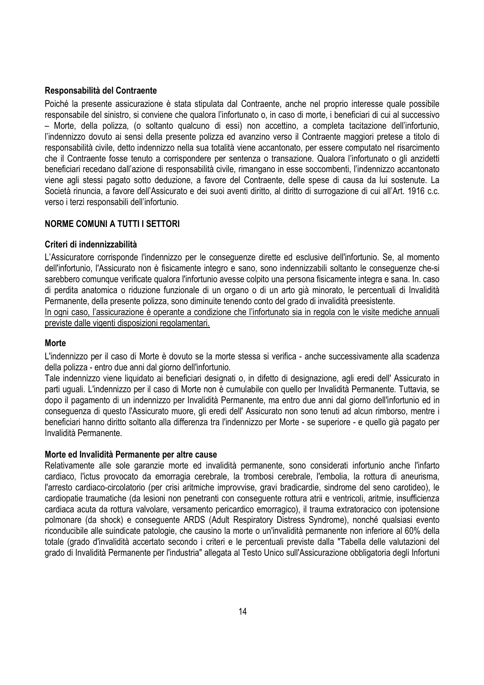### **Responsabilità del Contraente**

Poiché la presente assicurazione è stata stipulata dal Contraente, anche nel proprio interesse quale possibile responsabile del sinistro, si conviene che qualora l'infortunato o, in caso di morte, i beneficiari di cui al successivo – Morte, della polizza, (o soltanto qualcuno di essi) non accettino, a completa tacitazione dell'infortunio, l'indennizzo dovuto ai sensi della presente polizza ed avanzino verso il Contraente maggiori pretese a titolo di responsabilità civile, detto indennizzo nella sua totalità viene accantonato, per essere computato nel risarcimento che il Contraente fosse tenuto a corrispondere per sentenza o transazione. Qualora l'infortunato o gli anzidetti beneficiari recedano dall'azione di responsabilità civile, rimangano in esse soccombenti, l'indennizzo accantonato viene agli stessi pagato sotto deduzione, a favore del Contraente, delle spese di causa da lui sostenute. La Società rinuncia, a favore dell'Assicurato e dei suoi aventi diritto, al diritto di surrogazione di cui all'Art. 1916 c.c. verso i terzi responsabili dell'infortunio.

### **NORME COMUNI A TUTTI I SETTORI**

### **Criteri di indennizzabilità**

L'Assicuratore corrisponde l'indennizzo per le conseguenze dirette ed esclusive dell'infortunio. Se, al momento dell'infortunio, l'Assicurato non è fisicamente integro e sano, sono indennizzabili soltanto le conseguenze che-si sarebbero comunque verificate qualora l'infortunio avesse colpito una persona fisicamente integra e sana. In. caso di perdita anatomica o riduzione funzionale di un organo o di un arto già minorato, le percentuali di Invalidità Permanente, della presente polizza, sono diminuite tenendo conto del grado di invalidità preesistente.

In ogni caso, l'assicurazione è operante a condizione che l'infortunato sia in regola con le visite mediche annuali previste dalle vigenti disposizioni regolamentari.

#### **Morte**

L'indennizzo per il caso di Morte è dovuto se la morte stessa si verifica - anche successivamente alla scadenza della polizza - entro due anni dal giorno dell'infortunio.

Tale indennizzo viene liquidato ai beneficiari designati o, in difetto di designazione, agli eredi dell' Assicurato in parti uguali. L'indennizzo per il caso di Morte non è cumulabile con quello per Invalidità Permanente. Tuttavia, se dopo il pagamento di un indennizzo per Invalidità Permanente, ma entro due anni dal giorno dell'infortunio ed in conseguenza di questo l'Assicurato muore, gli eredi dell' Assicurato non sono tenuti ad alcun rimborso, mentre i beneficiari hanno diritto soltanto alla differenza tra l'indennizzo per Morte - se superiore - e quello già pagato per Invalidità Permanente.

#### **Morte ed Invalidità Permanente per altre cause**

Relativamente alle sole garanzie morte ed invalidità permanente, sono considerati infortunio anche l'infarto cardiaco, l'ictus provocato da emorragia cerebrale, la trombosi cerebrale, l'embolia, la rottura di aneurisma, l'arresto cardiaco-circolatorio (per crisi aritmiche improvvise, gravi bradicardie, sindrome del seno carotideo), le cardiopatie traumatiche (da lesioni non penetranti con conseguente rottura atrii e ventricoli, aritmie, insufficienza cardiaca acuta da rottura valvolare, versamento pericardico emorragico), il trauma extratoracico con ipotensione polmonare (da shock) e conseguente ARDS (Adult Respiratory Distress Syndrome), nonché qualsiasi evento riconducibile alle suindicate patologie, che causino la morte o un'invalidità permanente non inferiore al 60% della totale (grado d'invalidità accertato secondo i criteri e le percentuali previste dalla "Tabella delle valutazioni del grado di Invalidità Permanente per l'industria" allegata al Testo Unico sull'Assicurazione obbligatoria degli Infortuni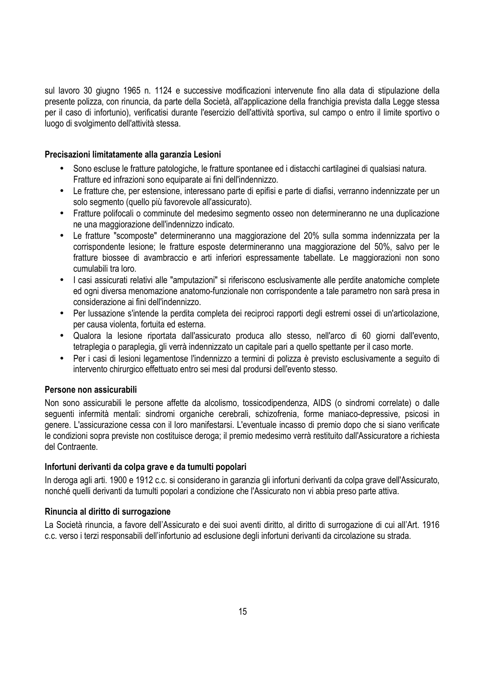sul lavoro 30 giugno 1965 n. 1124 e successive modificazioni intervenute fino alla data di stipulazione della presente polizza, con rinuncia, da parte della Società, all'applicazione della franchigia prevista dalla Legge stessa per il caso di infortunio), verificatisi durante l'esercizio dell'attività sportiva, sul campo o entro il limite sportivo o luogo di svolgimento dell'attività stessa.

### **Precisazioni limitatamente alla garanzia Lesioni**

- Sono escluse le fratture patologiche, le fratture spontanee ed i distacchi cartilaginei di qualsiasi natura. Fratture ed infrazioni sono equiparate ai fini dell'indennizzo.
- Le fratture che, per estensione, interessano parte di epifisi e parte di diafisi, verranno indennizzate per un solo segmento (quello più favorevole all'assicurato).
- Fratture polifocali o comminute del medesimo segmento osseo non determineranno ne una duplicazione ne una maggiorazione dell'indennizzo indicato.
- Le fratture "scomposte" determineranno una maggiorazione del 20% sulla somma indennizzata per la corrispondente lesione; le fratture esposte determineranno una maggiorazione del 50%, salvo per le fratture biossee di avambraccio e arti inferiori espressamente tabellate. Le maggiorazioni non sono cumulabili tra loro.
- I casi assicurati relativi alle "amputazioni" si riferiscono esclusivamente alle perdite anatomiche complete ed ogni diversa menomazione anatomo-funzionale non corrispondente a tale parametro non sarà presa in considerazione ai fini dell'indennizzo.
- Per lussazione s'intende la perdita completa dei reciproci rapporti degli estremi ossei di un'articolazione, per causa violenta, fortuita ed esterna.
- Qualora la lesione riportata dall'assicurato produca allo stesso, nell'arco di 60 giorni dall'evento, tetraplegia o paraplegia, gli verrà indennizzato un capitale pari a quello spettante per il caso morte.
- Per i casi di lesioni legamentose l'indennizzo a termini di polizza è previsto esclusivamente a seguito di intervento chirurgico effettuato entro sei mesi dal prodursi dell'evento stesso.

### **Persone non assicurabili**

Non sono assicurabili le persone affette da alcolismo, tossicodipendenza, AIDS (o sindromi correlate) o dalle seguenti infermità mentali: sindromi organiche cerebrali, schizofrenia, forme maniaco-depressive, psicosi in genere. L'assicurazione cessa con il loro manifestarsi. L'eventuale incasso di premio dopo che si siano verificate le condizioni sopra previste non costituisce deroga; il premio medesimo verrà restituito dall'Assicuratore a richiesta del Contraente.

### **Infortuni derivanti da colpa grave e da tumulti popolari**

In deroga agli arti. 1900 e 1912 c.c. si considerano in garanzia gli infortuni derivanti da colpa grave dell'Assicurato, nonché quelli derivanti da tumulti popolari a condizione che l'Assicurato non vi abbia preso parte attiva.

### **Rinuncia al diritto di surrogazione**

La Società rinuncia, a favore dell'Assicurato e dei suoi aventi diritto, al diritto di surrogazione di cui all'Art. 1916 c.c. verso i terzi responsabili dell'infortunio ad esclusione degli infortuni derivanti da circolazione su strada.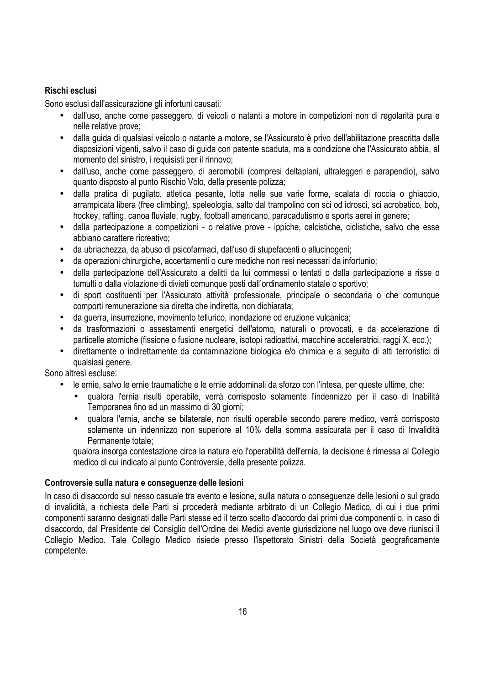### **Rischi esclusi**

Sono esclusi dall'assicurazione gli infortuni causati:

- dall'uso, anche come passeggero, di veicoli o natanti a motore in competizioni non di regolarità pura e nelle relative prove;
- dalla guida di qualsiasi veicolo o natante a motore, se l'Assicurato è privo dell'abilitazione prescritta dalle disposizioni vigenti, salvo il caso di guida con patente scaduta, ma a condizione che l'Assicurato abbia, al momento del sinistro, i requisisti per il rinnovo;
- dall'uso, anche come passeggero, di aeromobili (compresi deltaplani, ultraleggeri e parapendio), salvo quanto disposto al punto Rischio Volo, della presente polizza;
- dalla pratica di pugilato, atletica pesante, lotta nelle sue varie forme, scalata di roccia o ghiaccio, arrampicata libera (free climbing), speleologia, salto dal trampolino con sci od idrosci, sci acrobatico, bob, hockey, rafting, canoa fluviale, rugby, football americano, paracadutismo e sports aerei in genere;
- dalla partecipazione a competizioni o relative prove ippiche, calcistiche, ciclistiche, salvo che esse abbiano carattere ricreativo;
- da ubriachezza, da abuso di psicofarmaci, dall'uso di stupefacenti o allucinogeni;
- da operazioni chirurgiche, accertamenti o cure mediche non resi necessari da infortunio;
- dalla partecipazione dell'Assicurato a delitti da lui commessi o tentati o dalla partecipazione a risse o tumulti o dalla violazione di divieti comunque posti dall'ordinamento statale o sportivo;
- di sport costituenti per l'Assicurato attività professionale, principale o secondaria o che comunque comporti remunerazione sia diretta che indiretta, non dichiarata;
- da guerra, insurrezione, movimento tellurico, inondazione od eruzione vulcanica;
- da trasformazioni o assestamenti energetici dell'atomo, naturali o provocati, e da accelerazione di particelle atomiche (fissione o fusione nucleare, isotopi radioattivi, macchine acceleratrici, raggi X, ecc.);
- direttamente o indirettamente da contaminazione biologica e/o chimica e a seguito di atti terroristici di qualsiasi genere.

Sono altresì escluse:

- le ernie, salvo le ernie traumatiche e le ernie addominali da sforzo con l'intesa, per queste ultime, che:
	- qualora l'ernia risulti operabile, verrà corrisposto solamente l'indennizzo per il caso di Inabilità Temporanea fino ad un massimo di 30 giorni;
	- qualora l'ernia, anche se bilaterale, non risulti operabile secondo parere medico, verrà corrisposto solamente un indennizzo non superiore al 10% della somma assicurata per il caso di Invalidità Permanente totale;

qualora insorga contestazione circa la natura e/o l'operabilità dell'ernia, la decisione è rimessa al Collegio medico di cui indicato al punto Controversie, della presente polizza.

### **Controversie sulla natura e conseguenze delle lesioni**

In caso di disaccordo sul nesso casuale tra evento e lesione, sulla natura o conseguenze delle lesioni o sul grado di invalidità, a richiesta delle Parti si procederà mediante arbitrato di un Collegio Medico, di cui i due primi componenti saranno designati dalle Parti stesse ed il terzo scelto d'accordo dai primi due componenti o, in caso di disaccordo, dal Presidente del Consiglio dell'Ordine dei Medici avente giurisdizione nel luogo ove deve riunisci il Collegio Medico. Tale Collegio Medico risiede presso l'ispettorato Sinistri della Società geograficamente competente.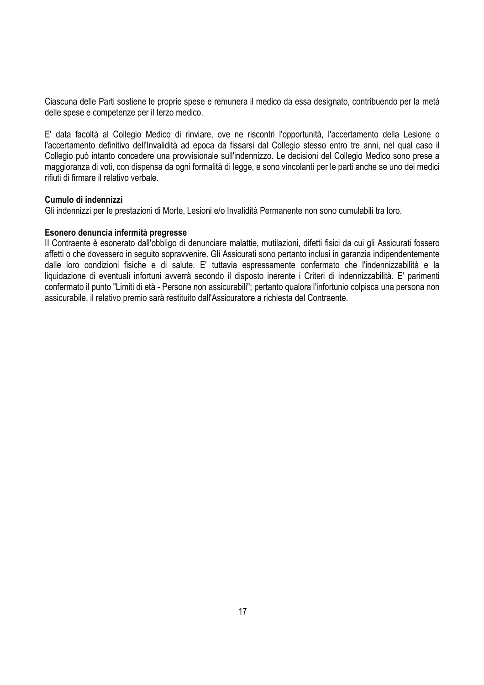Ciascuna delle Parti sostiene le proprie spese e remunera il medico da essa designato, contribuendo per la metà delle spese e competenze per il terzo medico.

E' data facoltà al Collegio Medico di rinviare, ove ne riscontri l'opportunità, l'accertamento della Lesione o l'accertamento definitivo dell'Invalidità ad epoca da fissarsi dal Collegio stesso entro tre anni, nel qual caso il Collegio può intanto concedere una provvisionale sull'indennizzo. Le decisioni del Collegio Medico sono prese a maggioranza di voti, con dispensa da ogni formalità di legge, e sono vincolanti per le parti anche se uno dei medici rifiuti di firmare il relativo verbale.

### **Cumulo di indennizzi**

Gli indennizzi per le prestazioni di Morte, Lesioni e/o Invalidità Permanente non sono cumulabili tra loro.

### **Esonero denuncia infermità pregresse**

II Contraente è esonerato dall'obbligo di denunciare malattie, mutilazioni, difetti fisici da cui gli Assicurati fossero affetti o che dovessero in seguito sopravvenire. Gli Assicurati sono pertanto inclusi in garanzia indipendentemente dalle loro condizioni fisiche e di salute. E' tuttavia espressamente confermato che l'indennizzabilità e la liquidazione di eventuali infortuni avverrà secondo il disposto inerente i Criteri di indennizzabilità. E' parimenti confermato il punto "Limiti di età - Persone non assicurabili"; pertanto qualora l'infortunio colpisca una persona non assicurabile, il relativo premio sarà restituito dall'Assicuratore a richiesta del Contraente.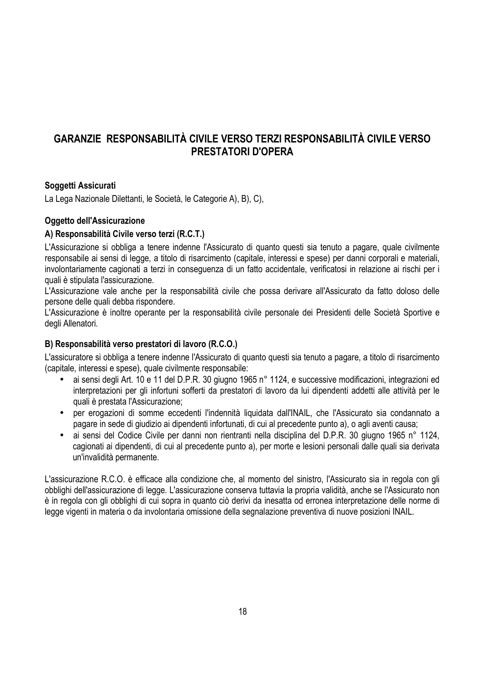# **GARANZIE RESPONSABILITÀ CIVILE VERSO TERZI RESPONSABILITÀ CIVILE VERSO PRESTATORI D'OPERA**

### **Soggetti Assicurati**

La Lega Nazionale Dilettanti, le Società, le Categorie A), B), C),

### **Oggetto dell'Assicurazione**

### **A) Responsabilità Civile verso terzi (R.C.T.)**

L'Assicurazione si obbliga a tenere indenne l'Assicurato di quanto questi sia tenuto a pagare, quale civilmente responsabile ai sensi di legge, a titolo di risarcimento (capitale, interessi e spese) per danni corporali e materiali, involontariamente cagionati a terzi in conseguenza di un fatto accidentale, verificatosi in relazione ai rischi per i quali è stipulata l'assicurazione.

L'Assicurazione vale anche per la responsabilità civile che possa derivare all'Assicurato da fatto doloso delle persone delle quali debba rispondere.

L'Assicurazione è inoltre operante per la responsabilità civile personale dei Presidenti delle Società Sportive e degli Allenatori.

### **B) Responsabilità verso prestatori di lavoro (R.C.O.)**

L'assicuratore si obbliga a tenere indenne l'Assicurato di quanto questi sia tenuto a pagare, a titolo di risarcimento (capitale, interessi e spese), quale civilmente responsabile:

- ai sensi degli Art. 10 e 11 del D.P.R. 30 giugno 1965 n° 1124, e successive modificazioni, integrazioni ed interpretazioni per gli infortuni sofferti da prestatori di lavoro da lui dipendenti addetti alle attività per le quali è prestata l'Assicurazione;
- per erogazioni di somme eccedenti l'indennità liquidata dall'INAIL, che l'Assicurato sia condannato a pagare in sede di giudizio ai dipendenti infortunati, di cui al precedente punto a), o agli aventi causa;
- ai sensi del Codice Civile per danni non rientranti nella disciplina del D.P.R. 30 giugno 1965 n° 1124, cagionati ai dipendenti, di cui al precedente punto a), per morte e lesioni personali dalle quali sia derivata un'invalidità permanente.

L'assicurazione R.C.O. è efficace alla condizione che, al momento del sinistro, l'Assicurato sia in regola con gli obblighi dell'assicurazione di legge. L'assicurazione conserva tuttavia la propria validità, anche se l'Assicurato non è in regola con gli obblighi di cui sopra in quanto ciò derivi da inesatta od erronea interpretazione delle norme di legge vigenti in materia o da involontaria omissione della segnalazione preventiva di nuove posizioni INAIL.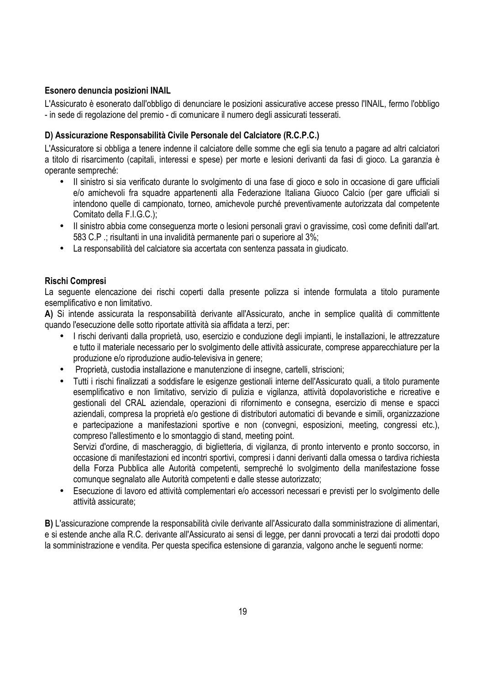### **Esonero denuncia posizioni INAIL**

L'Assicurato è esonerato dall'obbligo di denunciare le posizioni assicurative accese presso l'INAIL, fermo l'obbligo - in sede di regolazione del premio - di comunicare il numero degli assicurati tesserati.

### **D) Assicurazione Responsabilità Civile Personale del Calciatore (R.C.P.C.)**

L'Assicuratore si obbliga a tenere indenne il calciatore delle somme che egli sia tenuto a pagare ad altri calciatori a titolo di risarcimento (capitali, interessi e spese) per morte e lesioni derivanti da fasi di gioco. La garanzia è operante sempreché:

- II sinistro si sia verificato durante lo svolgimento di una fase di gioco e solo in occasione di gare ufficiali e/o amichevoli fra squadre appartenenti alla Federazione Italiana Giuoco Calcio (per gare ufficiali si intendono quelle di campionato, torneo, amichevole purché preventivamente autorizzata dal competente Comitato della F.I.G.C.);
- II sinistro abbia come conseguenza morte o lesioni personali gravi o gravissime, così come definiti dall'art. 583 C.P .; risultanti in una invalidità permanente pari o superiore al 3%;
- La responsabilità del calciatore sia accertata con sentenza passata in giudicato.

### **Rischi Compresi**

La seguente elencazione dei rischi coperti dalla presente polizza si intende formulata a titolo puramente esemplificativo e non limitativo.

**A)** Si intende assicurata la responsabilità derivante all'Assicurato, anche in semplice qualità di committente quando l'esecuzione delle sotto riportate attività sia affidata a terzi, per:

- I rischi derivanti dalla proprietà, uso, esercizio e conduzione degli impianti, le installazioni, le attrezzature e tutto il materiale necessario per lo svolgimento delle attività assicurate, comprese apparecchiature per la produzione e/o riproduzione audio-televisiva in genere;
- Proprietà, custodia installazione e manutenzione di insegne, cartelli, striscioni;
- Tutti i rischi finalizzati a soddisfare le esigenze gestionali interne dell'Assicurato quali, a titolo puramente esemplificativo e non limitativo, servizio di pulizia e vigilanza, attività dopolavoristiche e ricreative e gestionali del CRAL aziendale, operazioni di rifornimento e consegna, esercizio di mense e spacci aziendali, compresa la proprietà e/o gestione di distributori automatici di bevande e simili, organizzazione e partecipazione a manifestazioni sportive e non (convegni, esposizioni, meeting, congressi etc.), compreso l'allestimento e lo smontaggio di stand, meeting point.

Servizi d'ordine, di mascheraggio, di biglietteria, di vigilanza, di pronto intervento e pronto soccorso, in occasione di manifestazioni ed incontri sportivi, compresi i danni derivanti dalla omessa o tardiva richiesta della Forza Pubblica alle Autorità competenti, sempreché lo svolgimento della manifestazione fosse comunque segnalato alle Autorità competenti e dalle stesse autorizzato;

• Esecuzione di lavoro ed attività complementari e/o accessori necessari e previsti per lo svolgimento delle attività assicurate;

**B)** L'assicurazione comprende la responsabilità civile derivante all'Assicurato dalla somministrazione di alimentari, e si estende anche alla R.C. derivante all'Assicurato ai sensi di legge, per danni provocati a terzi dai prodotti dopo la somministrazione e vendita. Per questa specifica estensione di garanzia, valgono anche le seguenti norme: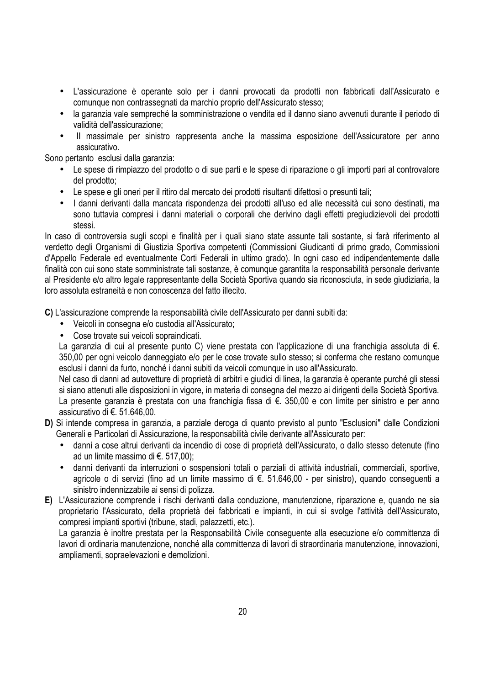- L'assicurazione è operante solo per i danni provocati da prodotti non fabbricati dall'Assicurato e comunque non contrassegnati da marchio proprio dell'Assicurato stesso;
- la garanzia vale sempreché la somministrazione o vendita ed il danno siano avvenuti durante il periodo di validità dell'assicurazione;
- II massimale per sinistro rappresenta anche la massima esposizione dell'Assicuratore per anno assicurativo.

Sono pertanto esclusi dalla garanzia:

- Le spese di rimpiazzo del prodotto o di sue parti e le spese di riparazione o gli importi pari al controvalore del prodotto;
- Le spese e gli oneri per il ritiro dal mercato dei prodotti risultanti difettosi o presunti tali;
- I danni derivanti dalla mancata rispondenza dei prodotti all'uso ed alle necessità cui sono destinati, ma sono tuttavia compresi i danni materiali o corporali che derivino dagli effetti pregiudizievoli dei prodotti stessi.

In caso di controversia sugli scopi e finalità per i quali siano state assunte tali sostante, si farà riferimento al verdetto degli Organismi di Giustizia Sportiva competenti (Commissioni Giudicanti di primo grado, Commissioni d'Appello Federale ed eventualmente Corti Federali in ultimo grado). In ogni caso ed indipendentemente dalle finalità con cui sono state somministrate tali sostanze, è comunque garantita la responsabilità personale derivante al Presidente e/o altro legale rappresentante della Società Sportiva quando sia riconosciuta, in sede giudiziaria, la loro assoluta estraneità e non conoscenza del fatto illecito.

**C)** L'assicurazione comprende la responsabilità civile dell'Assicurato per danni subiti da:

- Veicoli in consegna e/o custodia all'Assicurato;
- Cose trovate sui veicoli sopraindicati.

La garanzia di cui al presente punto C) viene prestata con l'applicazione di una franchigia assoluta di €. 350,00 per ogni veicolo danneggiato e/o per le cose trovate sullo stesso; si conferma che restano comunque esclusi i danni da furto, nonché i danni subiti da veicoli comunque in uso all'Assicurato.

Nel caso di danni ad autovetture di proprietà di arbitri e giudici di linea, la garanzia è operante purché gli stessi si siano attenuti alle disposizioni in vigore, in materia di consegna del mezzo ai dirigenti della Società Sportiva. La presente garanzia è prestata con una franchigia fissa di €. 350,00 e con limite per sinistro e per anno assicurativo di €. 51.646,00.

- **D)** Si intende compresa in garanzia, a parziale deroga di quanto previsto al punto "Esclusioni" dalle Condizioni Generali e Particolari di Assicurazione, la responsabilità civile derivante all'Assicurato per:
	- danni a cose altrui derivanti da incendio di cose di proprietà dell'Assicurato, o dallo stesso detenute (fino ad un limite massimo di €. 517,00);
	- danni derivanti da interruzioni o sospensioni totali o parziali di attività industriali, commerciali, sportive, agricole o di servizi (fino ad un limite massimo di €. 51.646,00 - per sinistro), quando conseguenti a sinistro indennizzabile ai sensi di polizza.
- **E)** L'Assicurazione comprende i rischi derivanti dalla conduzione, manutenzione, riparazione e, quando ne sia proprietario l'Assicurato, della proprietà dei fabbricati e impianti, in cui si svolge l'attività dell'Assicurato, compresi impianti sportivi (tribune, stadi, palazzetti, etc.).

La garanzia è inoltre prestata per la Responsabilità Civile conseguente alla esecuzione e/o committenza di lavori di ordinaria manutenzione, nonché alla committenza di lavori di straordinaria manutenzione, innovazioni, ampliamenti, sopraelevazioni e demolizioni.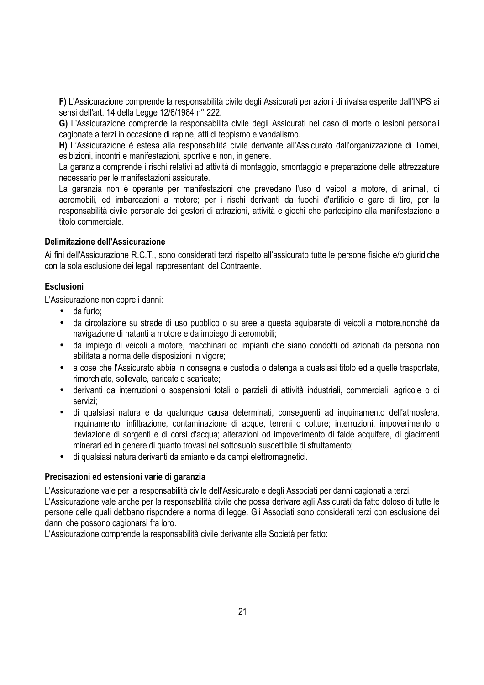**F)** L'Assicurazione comprende la responsabilità civile degli Assicurati per azioni di rivalsa esperite dall'INPS ai sensi dell'art. 14 della Legge 12/6/1984 n° 222.

**G)** L'Assicurazione comprende la responsabilità civile degli Assicurati nel caso di morte o lesioni personali cagionate a terzi in occasione di rapine, atti di teppismo e vandalismo.

**H)** L'Assicurazione è estesa alla responsabilità civile derivante all'Assicurato dall'organizzazione di Tornei, esibizioni, incontri e manifestazioni, sportive e non, in genere.

La garanzia comprende i rischi relativi ad attività di montaggio, smontaggio e preparazione delle attrezzature necessario per le manifestazioni assicurate.

La garanzia non è operante per manifestazioni che prevedano l'uso di veicoli a motore, di animali, di aeromobili, ed imbarcazioni a motore; per i rischi derivanti da fuochi d'artificio e gare di tiro, per la responsabilità civile personale dei gestori di attrazioni, attività e giochi che partecipino alla manifestazione a titolo commerciale.

### **Delimitazione dell'Assicurazione**

Ai fini dell'Assicurazione R.C.T., sono considerati terzi rispetto all'assicurato tutte le persone fisiche e/o giuridiche con la sola esclusione dei legali rappresentanti del Contraente.

### **Esclusioni**

L'Assicurazione non copre i danni:

- da furto;
- da circolazione su strade di uso pubblico o su aree a questa equiparate di veicoli a motore,nonché da navigazione di natanti a motore e da impiego di aeromobili;
- da impiego di veicoli a motore, macchinari od impianti che siano condotti od azionati da persona non abilitata a norma delle disposizioni in vigore;
- a cose che l'Assicurato abbia in consegna e custodia o detenga a qualsiasi titolo ed a quelle trasportate, rimorchiate, sollevate, caricate o scaricate;
- derivanti da interruzioni o sospensioni totali o parziali di attività industriali, commerciali, agricole o di servizi;
- di qualsiasi natura e da qualunque causa determinati, conseguenti ad inquinamento dell'atmosfera, inquinamento, infiltrazione, contaminazione di acque, terreni o colture; interruzioni, impoverimento o deviazione di sorgenti e di corsi d'acqua; alterazioni od impoverimento di falde acquifere, di giacimenti minerari ed in genere di quanto trovasi nel sottosuolo suscettibile di sfruttamento;
- di qualsiasi natura derivanti da amianto e da campi elettromagnetici.

### **Precisazioni ed estensioni varie di garanzia**

L'Assicurazione vale per la responsabilità civile dell'Assicurato e degli Associati per danni cagionati a terzi. L'Assicurazione vale anche per la responsabilità civile che possa derivare agli Assicurati da fatto doloso di tutte le persone delle quali debbano rispondere a norma di legge. Gli Associati sono considerati terzi con esclusione dei danni che possono cagionarsi fra loro.

L'Assicurazione comprende la responsabilità civile derivante alle Società per fatto: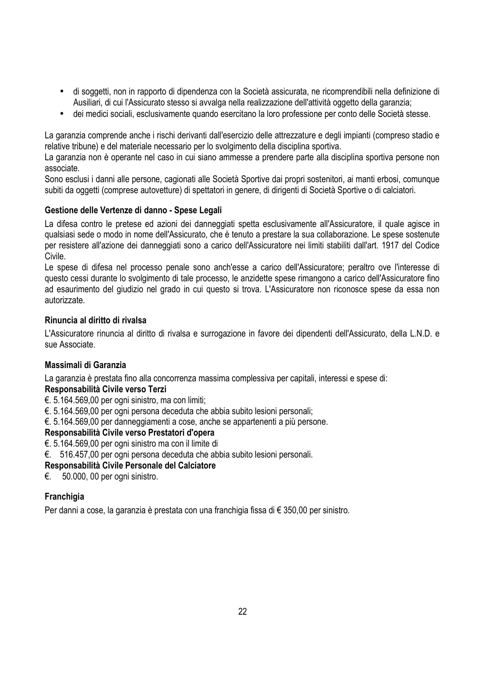- di soggetti, non in rapporto di dipendenza con la Società assicurata, ne ricomprendibili nella definizione di Ausiliari, di cui l'Assicurato stesso si avvalga nella realizzazione dell'attività oggetto della garanzia;
- dei medici sociali, esclusivamente quando esercitano la loro professione per conto delle Società stesse.

La garanzia comprende anche i rischi derivanti dall'esercizio delle attrezzature e degli impianti (compreso stadio e relative tribune) e del materiale necessario per lo svolgimento della disciplina sportiva.

La garanzia non è operante nel caso in cui siano ammesse a prendere parte alla disciplina sportiva persone non associate.

Sono esclusi i danni alle persone, cagionati alle Società Sportive dai propri sostenitori, ai manti erbosi, comunque subiti da oggetti (comprese autovetture) di spettatori in genere, di dirigenti di Società Sportive o di calciatori.

### **Gestione delle Vertenze di danno - Spese Legali**

La difesa contro le pretese ed azioni dei danneggiati spetta esclusivamente all'Assicuratore, il quale agisce in qualsiasi sede o modo in nome dell'Assicurato, che è tenuto a prestare la sua collaborazione. Le spese sostenute per resistere all'azione dei danneggiati sono a carico dell'Assicuratore nei limiti stabiliti dall'art. 1917 del Codice Civile.

Le spese di difesa nel processo penale sono anch'esse a carico dell'Assicuratore; peraltro ove l'interesse di questo cessi durante lo svolgimento di tale processo, le anzidette spese rimangono a carico dell'Assicuratore fino ad esaurimento del giudizio nel grado in cui questo si trova. L'Assicuratore non riconosce spese da essa non autorizzate.

### **Rinuncia al diritto di rivalsa**

L'Assicuratore rinuncia al diritto di rivalsa e surrogazione in favore dei dipendenti dell'Assicurato, della L.N.D. e sue Associate.

### **Massimali di Garanzia**

La garanzia è prestata fino alla concorrenza massima complessiva per capitali, interessi e spese di:

### **Responsabilità Civile verso Terzi**

€. 5.164.569,00 per ogni sinistro, ma con limiti;

€. 5.164.569,00 per ogni persona deceduta che abbia subito lesioni personali;

€. 5.164.569,00 per danneggiamenti a cose, anche se appartenenti a più persone.

### **Responsabilità Civile verso Prestatori d'opera**

€. 5.164.569,00 per ogni sinistro ma con il limite di

€. 516.457,00 per ogni persona deceduta che abbia subito lesioni personali.

### **Responsabilità Civile Personale del Calciatore**

€. 50.000, 00 per ogni sinistro.

### **Franchigia**

Per danni a cose, la garanzia è prestata con una franchigia fissa di € 350,00 per sinistro.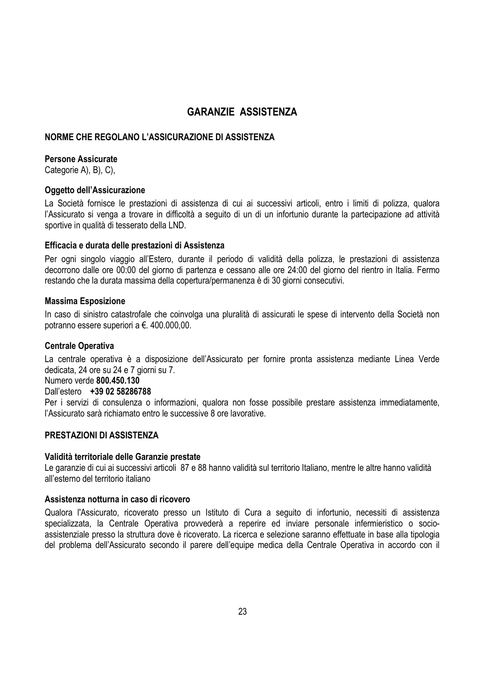## **GARANZIE ASSISTENZA**

### **NORME CHE REGOLANO L'ASSICURAZIONE DI ASSISTENZA**

### **Persone Assicurate**

Categorie A), B), C),

### **Oggetto dell'Assicurazione**

La Società fornisce le prestazioni di assistenza di cui ai successivi articoli, entro i limiti di polizza, qualora l'Assicurato si venga a trovare in difficoltà a seguito di un di un infortunio durante la partecipazione ad attività sportive in qualità di tesserato della LND.

### **Efficacia e durata delle prestazioni di Assistenza**

Per ogni singolo viaggio all'Estero, durante il periodo di validità della polizza, le prestazioni di assistenza decorrono dalle ore 00:00 del giorno di partenza e cessano alle ore 24:00 del giorno del rientro in Italia. Fermo restando che la durata massima della copertura/permanenza è di 30 giorni consecutivi.

### **Massima Esposizione**

In caso di sinistro catastrofale che coinvolga una pluralità di assicurati le spese di intervento della Società non potranno essere superiori a €. 400.000,00.

#### **Centrale Operativa**

La centrale operativa è a disposizione dell'Assicurato per fornire pronta assistenza mediante Linea Verde dedicata, 24 ore su 24 e 7 giorni su 7.

Numero verde **800.450.130**

### Dall'estero **+39 02 58286788**

Per i servizi di consulenza o informazioni, qualora non fosse possibile prestare assistenza immediatamente, l'Assicurato sarà richiamato entro le successive 8 ore lavorative.

### **PRESTAZIONI DI ASSISTENZA**

#### **Validità territoriale delle Garanzie prestate**

Le garanzie di cui ai successivi articoli 87 e 88 hanno validità sul territorio Italiano, mentre le altre hanno validità all'esterno del territorio italiano

### **Assistenza notturna in caso di ricovero**

Qualora l'Assicurato, ricoverato presso un Istituto di Cura a seguito di infortunio, necessiti di assistenza specializzata, la Centrale Operativa provvederà a reperire ed inviare personale infermieristico o socioassistenziale presso la struttura dove è ricoverato. La ricerca e selezione saranno effettuate in base alla tipologia del problema dell'Assicurato secondo il parere dell'equipe medica della Centrale Operativa in accordo con il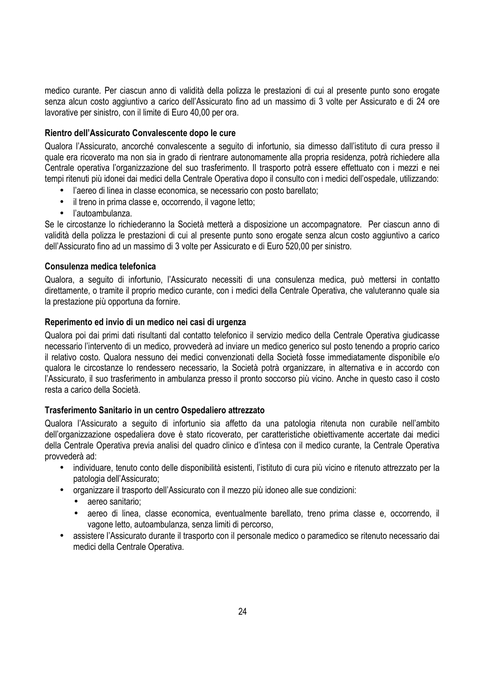medico curante. Per ciascun anno di validità della polizza le prestazioni di cui al presente punto sono erogate senza alcun costo aggiuntivo a carico dell'Assicurato fino ad un massimo di 3 volte per Assicurato e di 24 ore lavorative per sinistro, con il limite di Euro 40,00 per ora.

### **Rientro dell'Assicurato Convalescente dopo le cure**

Qualora l'Assicurato, ancorché convalescente a seguito di infortunio, sia dimesso dall'istituto di cura presso il quale era ricoverato ma non sia in grado di rientrare autonomamente alla propria residenza, potrà richiedere alla Centrale operativa l'organizzazione del suo trasferimento. Il trasporto potrà essere effettuato con i mezzi e nei tempi ritenuti più idonei dai medici della Centrale Operativa dopo il consulto con i medici dell'ospedale, utilizzando:

- l'aereo di linea in classe economica, se necessario con posto barellato;
- il treno in prima classe e, occorrendo, il vagone letto;
- l'autoambulanza.

Se le circostanze lo richiederanno la Società metterà a disposizione un accompagnatore. Per ciascun anno di validità della polizza le prestazioni di cui al presente punto sono erogate senza alcun costo aggiuntivo a carico dell'Assicurato fino ad un massimo di 3 volte per Assicurato e di Euro 520,00 per sinistro.

### **Consulenza medica telefonica**

Qualora, a seguito di infortunio, l'Assicurato necessiti di una consulenza medica, può mettersi in contatto direttamente, o tramite il proprio medico curante, con i medici della Centrale Operativa, che valuteranno quale sia la prestazione più opportuna da fornire.

#### **Reperimento ed invio di un medico nei casi di urgenza**

Qualora poi dai primi dati risultanti dal contatto telefonico il servizio medico della Centrale Operativa giudicasse necessario l'intervento di un medico, provvederà ad inviare un medico generico sul posto tenendo a proprio carico il relativo costo. Qualora nessuno dei medici convenzionati della Società fosse immediatamente disponibile e/o qualora le circostanze lo rendessero necessario, la Società potrà organizzare, in alternativa e in accordo con l'Assicurato, il suo trasferimento in ambulanza presso il pronto soccorso più vicino. Anche in questo caso il costo resta a carico della Società.

#### **Trasferimento Sanitario in un centro Ospedaliero attrezzato**

Qualora l'Assicurato a seguito di infortunio sia affetto da una patologia ritenuta non curabile nell'ambito dell'organizzazione ospedaliera dove è stato ricoverato, per caratteristiche obiettivamente accertate dai medici della Centrale Operativa previa analisi del quadro clinico e d'intesa con il medico curante, la Centrale Operativa provvederà ad:

- individuare, tenuto conto delle disponibilità esistenti, l'istituto di cura più vicino e ritenuto attrezzato per la patologia dell'Assicurato;
- organizzare il trasporto dell'Assicurato con il mezzo più idoneo alle sue condizioni:
	- aereo sanitario;
	- aereo di linea, classe economica, eventualmente barellato, treno prima classe e, occorrendo, il vagone letto, autoambulanza, senza limiti di percorso,
- assistere l'Assicurato durante il trasporto con il personale medico o paramedico se ritenuto necessario dai medici della Centrale Operativa.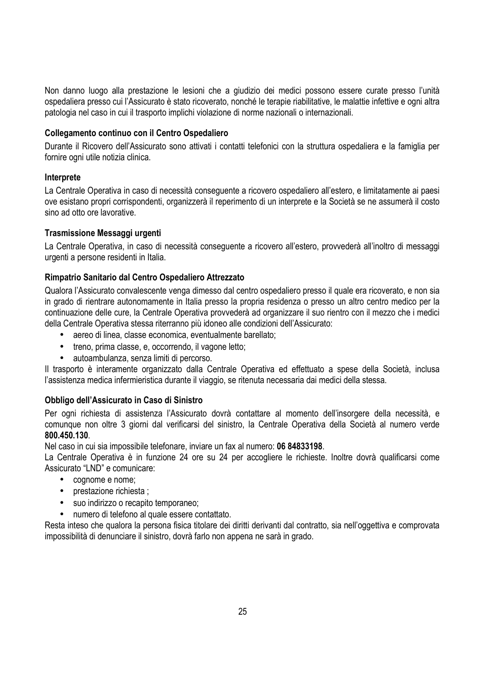Non danno luogo alla prestazione le lesioni che a giudizio dei medici possono essere curate presso l'unità ospedaliera presso cui l'Assicurato è stato ricoverato, nonché le terapie riabilitative, le malattie infettive e ogni altra patologia nel caso in cui il trasporto implichi violazione di norme nazionali o internazionali.

### **Collegamento continuo con il Centro Ospedaliero**

Durante il Ricovero dell'Assicurato sono attivati i contatti telefonici con la struttura ospedaliera e la famiglia per fornire ogni utile notizia clinica.

### **Interprete**

La Centrale Operativa in caso di necessità conseguente a ricovero ospedaliero all'estero, e limitatamente ai paesi ove esistano propri corrispondenti, organizzerà il reperimento di un interprete e la Società se ne assumerà il costo sino ad otto ore lavorative.

### **Trasmissione Messaggi urgenti**

La Centrale Operativa, in caso di necessità conseguente a ricovero all'estero, provvederà all'inoltro di messaggi urgenti a persone residenti in Italia.

### **Rimpatrio Sanitario dal Centro Ospedaliero Attrezzato**

Qualora l'Assicurato convalescente venga dimesso dal centro ospedaliero presso il quale era ricoverato, e non sia in grado di rientrare autonomamente in Italia presso la propria residenza o presso un altro centro medico per la continuazione delle cure, la Centrale Operativa provvederà ad organizzare il suo rientro con il mezzo che i medici della Centrale Operativa stessa riterranno più idoneo alle condizioni dell'Assicurato:

- aereo di linea, classe economica, eventualmente barellato;
- treno, prima classe, e, occorrendo, il vagone letto;
- autoambulanza, senza limiti di percorso.

Il trasporto è interamente organizzato dalla Centrale Operativa ed effettuato a spese della Società, inclusa l'assistenza medica infermieristica durante il viaggio, se ritenuta necessaria dai medici della stessa.

#### **Obbligo dell'Assicurato in Caso di Sinistro**

Per ogni richiesta di assistenza l'Assicurato dovrà contattare al momento dell'insorgere della necessità, e comunque non oltre 3 giorni dal verificarsi del sinistro, la Centrale Operativa della Società al numero verde **800.450.130**.

Nel caso in cui sia impossibile telefonare, inviare un fax al numero: **06 84833198**.

La Centrale Operativa è in funzione 24 ore su 24 per accogliere le richieste. Inoltre dovrà qualificarsi come Assicurato "LND" e comunicare:

- cognome e nome;
- prestazione richiesta ;
- suo indirizzo o recapito temporaneo;
- numero di telefono al quale essere contattato.

Resta inteso che qualora la persona fisica titolare dei diritti derivanti dal contratto, sia nell'oggettiva e comprovata impossibilità di denunciare il sinistro, dovrà farlo non appena ne sarà in grado.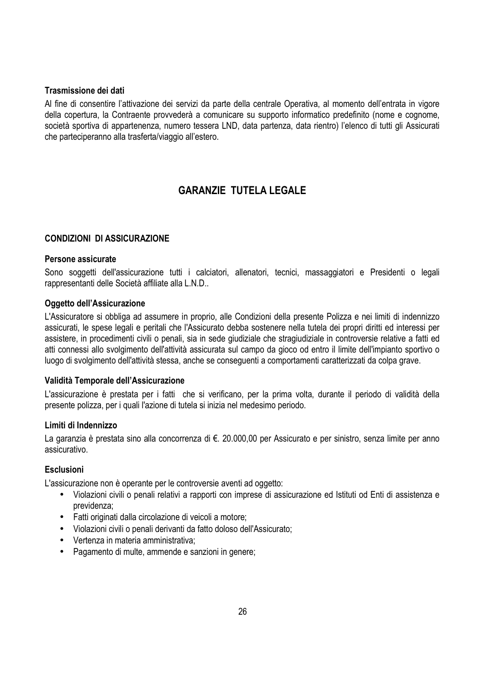### **Trasmissione dei dati**

Al fine di consentire l'attivazione dei servizi da parte della centrale Operativa, al momento dell'entrata in vigore della copertura, la Contraente provvederà a comunicare su supporto informatico predefinito (nome e cognome, società sportiva di appartenenza, numero tessera LND, data partenza, data rientro) l'elenco di tutti gli Assicurati che parteciperanno alla trasferta/viaggio all'estero.

# **GARANZIE TUTELA LEGALE**

### **CONDIZIONI DI ASSICURAZIONE**

### **Persone assicurate**

Sono soggetti dell'assicurazione tutti i calciatori, allenatori, tecnici, massaggiatori e Presidenti o legali rappresentanti delle Società affiliate alla L.N.D..

### **Oggetto dell'Assicurazione**

L'Assicuratore si obbliga ad assumere in proprio, alle Condizioni della presente Polizza e nei limiti di indennizzo assicurati, le spese legali e peritali che l'Assicurato debba sostenere nella tutela dei propri diritti ed interessi per assistere, in procedimenti civili o penali, sia in sede giudiziale che stragiudiziale in controversie relative a fatti ed atti connessi allo svolgimento dell'attività assicurata sul campo da gioco od entro il limite dell'impianto sportivo o luogo di svolgimento dell'attività stessa, anche se conseguenti a comportamenti caratterizzati da colpa grave.

### **Validità Temporale dell'Assicurazione**

L'assicurazione è prestata per i fatti che si verificano, per la prima volta, durante il periodo di validità della presente polizza, per i quali l'azione di tutela si inizia nel medesimo periodo.

#### **Limiti di Indennizzo**

La garanzia è prestata sino alla concorrenza di €. 20.000,00 per Assicurato e per sinistro, senza limite per anno assicurativo.

### **Esclusioni**

L'assicurazione non è operante per le controversie aventi ad oggetto:

- Violazioni civili o penali relativi a rapporti con imprese di assicurazione ed Istituti od Enti di assistenza e previdenza;
- Fatti originati dalla circolazione di veicoli a motore;
- Violazioni civili o penali derivanti da fatto doloso dell'Assicurato;
- Vertenza in materia amministrativa;
- Pagamento di multe, ammende e sanzioni in genere;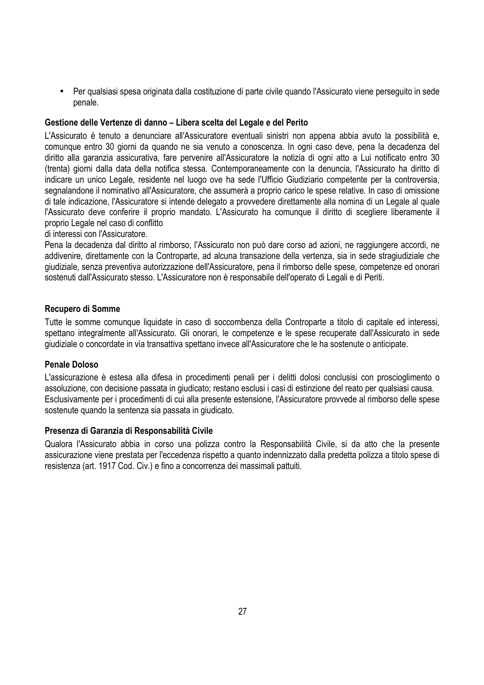• Per qualsiasi spesa originata dalla costituzione di parte civile quando l'Assicurato viene perseguito in sede penale.

### **Gestione delle Vertenze di danno – Libera scelta del Legale e del Perito**

L'Assicurato è tenuto a denunciare all'Assicuratore eventuali sinistri non appena abbia avuto la possibilità e, comunque entro 30 giorni da quando ne sia venuto a conoscenza. In ogni caso deve, pena la decadenza del diritto alla garanzia assicurativa, fare pervenire all'Assicuratore la notizia di ogni atto a Lui notificato entro 30 (trenta) giorni dalla data della notifica stessa. Contemporaneamente con la denuncia, l'Assicurato ha diritto di indicare un unico Legale, residente nel luogo ove ha sede l'Ufficio Giudiziario competente per la controversia, segnalandone il nominativo all'Assicuratore, che assumerà a proprio carico le spese relative. In caso di omissione di tale indicazione, l'Assicuratore si intende delegato a provvedere direttamente alla nomina di un Legale al quale l'Assicurato deve conferire il proprio mandato. L'Assicurato ha comunque il diritto di scegliere liberamente il proprio Legale nel caso di conflitto

di interessi con l'Assicuratore.

Pena la decadenza dal diritto al rimborso, l'Assicurato non può dare corso ad azioni, ne raggiungere accordi, ne addivenire, direttamente con la Controparte, ad alcuna transazione della vertenza, sia in sede stragiudiziale che giudiziale, senza preventiva autorizzazione dell'Assicuratore, pena il rimborso delle spese, competenze ed onorari sostenuti dall'Assicurato stesso. L'Assicuratore non è responsabile dell'operato di Legali e di Periti.

### **Recupero di Somme**

Tutte le somme comunque liquidate in caso di soccombenza della Controparte a titolo di capitale ed interessi, spettano integralmente all'Assicurato. Gli onorari, le competenze e le spese recuperate dall'Assicurato in sede giudiziale o concordate in via transattiva spettano invece all'Assicuratore che le ha sostenute o anticipate.

### **Penale Doloso**

L'assicurazione è estesa alla difesa in procedimenti penali per i delitti dolosi conclusisi con proscioglimento o assoluzione, con decisione passata in giudicato; restano esclusi i casi di estinzione del reato per qualsiasi causa. Esclusivamente per i procedimenti di cui alla presente estensione, l'Assicuratore provvede al rimborso delle spese sostenute quando la sentenza sia passata in giudicato.

### **Presenza di Garanzia di Responsabilità Civile**

Qualora l'Assicurato abbia in corso una polizza contro la Responsabilità Civile, si da atto che la presente assicurazione viene prestata per l'eccedenza rispetto a quanto indennizzato dalla predetta polizza a titolo spese di resistenza (art. 1917 Cod. Civ.) e fino a concorrenza dei massimali pattuiti.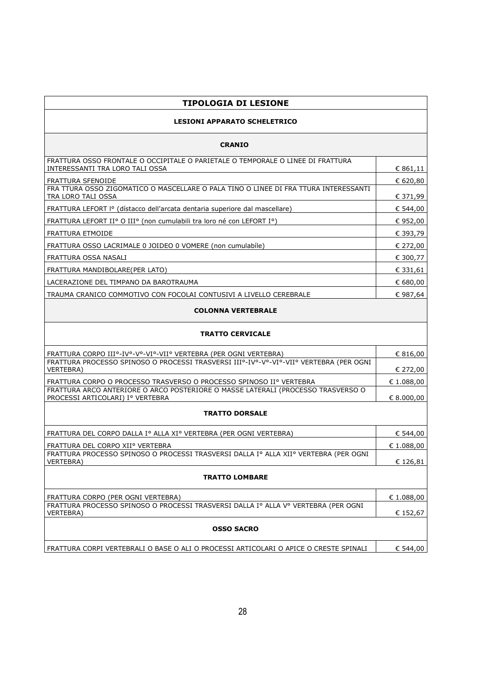| <b>TIPOLOGIA DI LESIONE</b>                                                                                          |            |  |
|----------------------------------------------------------------------------------------------------------------------|------------|--|
| <b>LESIONI APPARATO SCHELETRICO</b>                                                                                  |            |  |
| <b>CRANIO</b>                                                                                                        |            |  |
| FRATTURA OSSO FRONTALE O OCCIPITALE O PARIETALE O TEMPORALE O LINEE DI FRATTURA<br>INTERESSANTI TRA LORO TALI OSSA   | € 861,11   |  |
| FRATTURA SFENOIDE                                                                                                    | € 620,80   |  |
| FRA TTURA OSSO ZIGOMATICO O MASCELLARE O PALA TINO O LINEE DI FRA TTURA INTERESSANTI<br>TRA LORO TALI OSSA           | € 371,99   |  |
| FRATTURA LEFORT Iº (dístacco dell'arcata dentaria superiore dal mascellare)                                          | € 544,00   |  |
| FRATTURA LEFORT IIº O IIIº (non cumulabili tra loro né con LEFORT Iº)                                                | € 952,00   |  |
| FRATTURA ETMOIDE                                                                                                     | € 393,79   |  |
| FRATTURA OSSO LACRIMALE 0 JOIDEO 0 VOMERE (non cumulabíle)                                                           | € 272,00   |  |
| FRATTURA OSSA NASALI                                                                                                 | € 300,77   |  |
| FRATTURA MANDIBOLARE(PER LATO)                                                                                       | € 331,61   |  |
| LACERAZIONE DEL TIMPANO DA BAROTRAUMA                                                                                | € 680,00   |  |
| TRAUMA CRANICO COMMOTIVO CON FOCOLAI CONTUSIVI A LIVELLO CEREBRALE                                                   | € 987,64   |  |
| <b>COLONNA VERTEBRALE</b>                                                                                            |            |  |
| <b>TRATTO CERVICALE</b>                                                                                              |            |  |
| FRATTURA CORPO IIIº-IVº-Vº-VIº-VIIº VERTEBRA (PER OGNI VERTEBRA)                                                     | € 816,00   |  |
| FRATTURA PROCESSO SPINOSO O PROCESSI TRASVERSI IIIº-IVº-Vº-VIº-VIIº VERTEBRA (PER OGNI<br><b>VERTEBRA)</b>           | € 272,00   |  |
| FRATTURA CORPO O PROCESSO TRASVERSO O PROCESSO SPINOSO IIº VERTEBRA                                                  | € 1.088,00 |  |
| FRATTURA ARCO ANTERIORE O ARCO POSTERIORE O MASSE LATERALI (PROCESSO TRASVERSO O<br>PROCESSI ARTICOLARI) Iº VERTEBRA | € 8.000,00 |  |
| <b>TRATTO DORSALE</b>                                                                                                |            |  |
| FRATTURA DEL CORPO DALLA Iº ALLA XIº VERTEBRA (PER OGNI VERTEBRA)                                                    | € 544,00   |  |
| FRATTURA DEL CORPO XIIº VERTEBRA                                                                                     | € 1.088,00 |  |
| FRATTURA PROCESSO SPINOSO O PROCESSI TRASVERSI DALLA Iº ALLA XIIº VERTEBRA (PER OGNI<br>VERTEBRA)                    | € 126,81   |  |
| <b>TRATTO LOMBARE</b>                                                                                                |            |  |
| FRATTURA CORPO (PER OGNI VERTEBRA)                                                                                   | € 1.088,00 |  |
| FRATTURA PROCESSO SPINOSO O PROCESSI TRASVERSI DALLA Iº ALLA Vº VERTEBRA (PER OGNI<br>VERTEBRA)                      | € 152,67   |  |
| <b>OSSO SACRO</b>                                                                                                    |            |  |
| FRATTURA CORPI VERTEBRALI O BASE O ALI O PROCESSI ARTICOLARI O APICE O CRESTE SPINALI                                | € 544,00   |  |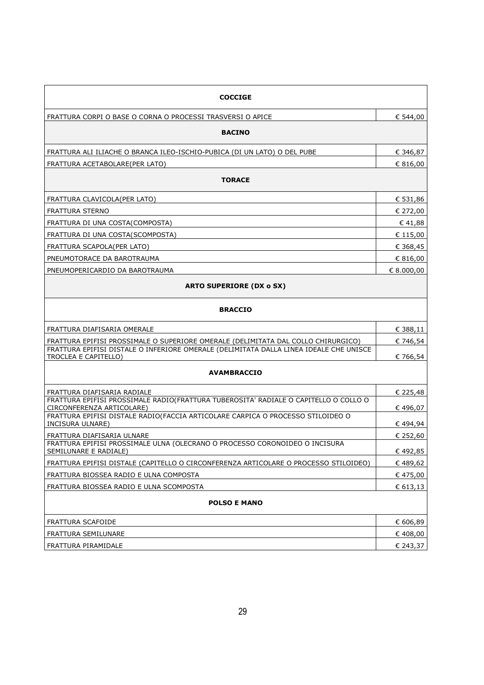| <b>COCCIGE</b>                                                                                                    |              |
|-------------------------------------------------------------------------------------------------------------------|--------------|
| FRATTURA CORPI O BASE O CORNA O PROCESSI TRASVERSI O APICE                                                        | € 544,00     |
| <b>BACINO</b>                                                                                                     |              |
| FRATTURA ALI ILIACHE O BRANCA ILEO-ISCHIO-PUBICA (DI UN LATO) O DEL PUBE                                          | € 346,87     |
| FRATTURA ACETABOLARE(PER LATO)                                                                                    | € 816,00     |
| <b>TORACE</b>                                                                                                     |              |
| FRATTURA CLAVICOLA(PER LATO)                                                                                      | € 531,86     |
| FRATTURA STERNO                                                                                                   | € 272,00     |
| FRATTURA DI UNA COSTA(COMPOSTA)                                                                                   | € 41,88      |
| FRATTURA DI UNA COSTA(SCOMPOSTA)                                                                                  | € 115,00     |
| FRATTURA SCAPOLA(PER LATO)                                                                                        | € 368,45     |
| PNEUMOTORACE DA BAROTRAUMA                                                                                        | € 816,00     |
| PNEUMOPERICARDIO DA BAROTRAUMA                                                                                    | $E$ 8.000,00 |
| <b>ARTO SUPERIORE (DX o SX)</b>                                                                                   |              |
| <b>BRACCIO</b>                                                                                                    |              |
| FRATTURA DIAFISARIA OMERALE                                                                                       | € 388,11     |
| FRATTURA EPIFISI PROSSIMALE O SUPERIORE OMERALE (DELIMITATA DAL COLLO CHIRURGICO)                                 | € 746,54     |
| FRATTURA EPIFISI DISTALE O INFERIORE OMERALE (DELIMITATA DALLA LINEA IDEALE CHE UNISCE<br>TROCLEA E CAPITELLO)    | € 766,54     |
| <b>AVAMBRACCIO</b>                                                                                                |              |
| FRATTURA DIAFISARIA RADIALE                                                                                       | € 225,48     |
| FRATTURA EPIFISI PROSSIMALE RADIO(FRATTURA TUBEROSITA' RADIALE O CAPITELLO O COLLO O<br>CIRCONFERENZA ARTICOLARE) | € 496,07     |
| FRATTURA EPIFISI DISTALE RADIO(FACCIA ARTICOLARE CARPICA O PROCESSO STILOIDEO O<br>INCISURA ULNARE)               | € 494,94     |
| FRATTURA DIAFISARIA ULNARE                                                                                        | € 252,60     |
| FRATTURA EPIFISI PROSSIMALE ULNA (OLECRANO O PROCESSO CORONOIDEO O INCISURA<br>SEMILUNARE E RADIALE)              | € 492,85     |
| FRATTURA EPIFISI DISTALE (CAPITELLO O CIRCONFERENZA ARTICOLARE O PROCESSO STILOIDEO)                              | € 489,62     |
| FRATTURA BIOSSEA RADIO E ULNA COMPOSTA                                                                            | €475,00      |
| FRATTURA BIOSSEA RADIO E ULNA SCOMPOSTA                                                                           | € 613,13     |
| <b>POLSO E MANO</b>                                                                                               |              |
| FRATTURA SCAFOIDE                                                                                                 | € 606,89     |
| FRATTURA SEMILUNARE                                                                                               | € 408,00     |
| FRATTURA PIRAMIDALE                                                                                               | € 243,37     |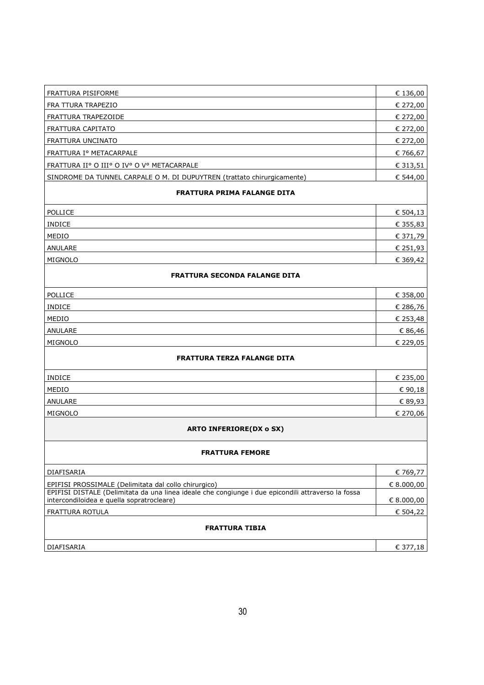| FRATTURA PISIFORME                                                                                                                                                                                      | € 136,00                   |
|---------------------------------------------------------------------------------------------------------------------------------------------------------------------------------------------------------|----------------------------|
| FRA TTURA TRAPEZIO                                                                                                                                                                                      | € 272,00                   |
| FRATTURA TRAPEZOIDE                                                                                                                                                                                     | € 272,00                   |
| FRATTURA CAPITATO                                                                                                                                                                                       | € 272,00                   |
| FRATTURA UNCINATO                                                                                                                                                                                       | € 272,00                   |
| FRATTURA Iº METACARPALE                                                                                                                                                                                 | € 766,67                   |
| FRATTURA IIº O IIIº O IVº O Vº METACARPALE                                                                                                                                                              | € 313,51                   |
| SINDROME DA TUNNEL CARPALE O M. DI DUPUYTREN (trattato chirurgicamente)                                                                                                                                 | € 544,00                   |
| <b>FRATTURA PRIMA FALANGE DITA</b>                                                                                                                                                                      |                            |
| POLLICE                                                                                                                                                                                                 | € 504,13                   |
| <b>INDICE</b>                                                                                                                                                                                           | € 355,83                   |
| MEDIO                                                                                                                                                                                                   | € 371,79                   |
| ANULARE                                                                                                                                                                                                 | € 251,93                   |
| MIGNOLO                                                                                                                                                                                                 | € 369,42                   |
| <b>FRATTURA SECONDA FALANGE DITA</b>                                                                                                                                                                    |                            |
|                                                                                                                                                                                                         |                            |
| POLLICE                                                                                                                                                                                                 | € 358,00                   |
| <b>INDICE</b>                                                                                                                                                                                           | € 286,76                   |
| MEDIO                                                                                                                                                                                                   | € 253,48                   |
| ANULARE                                                                                                                                                                                                 | € 86,46                    |
| MIGNOLO                                                                                                                                                                                                 | € 229,05                   |
| <b>FRATTURA TERZA FALANGE DITA</b>                                                                                                                                                                      |                            |
| <b>INDICE</b>                                                                                                                                                                                           | € 235,00                   |
| MEDIO                                                                                                                                                                                                   | € 90,18                    |
| ANULARE                                                                                                                                                                                                 | € 89,93                    |
| MIGNOLO                                                                                                                                                                                                 | € 270,06                   |
| <b>ARTO INFERIORE(DX o SX)</b>                                                                                                                                                                          |                            |
| <b>FRATTURA FEMORE</b>                                                                                                                                                                                  |                            |
|                                                                                                                                                                                                         |                            |
| DIAFISARIA                                                                                                                                                                                              | € 769,77                   |
| EPIFISI PROSSIMALE (Delimitata dal collo chirurgico)<br>EPIFISI DISTALE (Delimitata da una linea ideale che congiunge i due epicondili attraverso la fossa<br>intercondiloidea e quella sopratrocleare) | $E$ 8.000,00<br>E 8.000,00 |
| FRATTURA ROTULA                                                                                                                                                                                         | € 504,22                   |
| <b>FRATTURA TIBIA</b>                                                                                                                                                                                   |                            |
| DIAFISARIA                                                                                                                                                                                              | € 377,18                   |
|                                                                                                                                                                                                         |                            |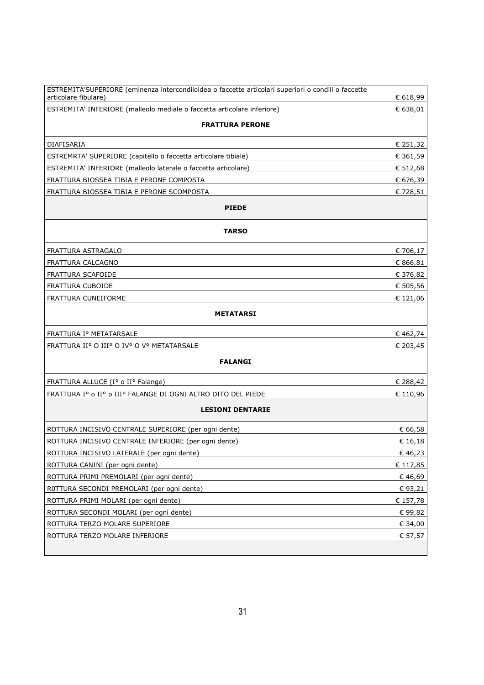| ESTREMITA'SUPERIORE (eminenza intercondiloidea o faccette articolari superiori o condili o faccette<br>articolare fibulare) | € 618,99 |  |
|-----------------------------------------------------------------------------------------------------------------------------|----------|--|
| ESTREMITA' INFERIORE (malleolo mediale o faccetta articolare inferiore)                                                     | € 638,01 |  |
|                                                                                                                             |          |  |
| <b>FRATTURA PERONE</b>                                                                                                      |          |  |
| DIAFISARIA                                                                                                                  | € 251,32 |  |
| ESTREMRTA' SUPERIORE (capitello o faccetta articolare tibiale)                                                              | € 361,59 |  |
| ESTREMITA' INFERIORE (malleolo laterale o faccetta articolare)                                                              | € 512,68 |  |
| FRATTURA BIOSSEA TIBIA E PERONE COMPOSTA                                                                                    | € 676,39 |  |
| FRATTURA BIOSSEA TIBIA E PERONE SCOMPOSTA                                                                                   | € 728,51 |  |
| <b>PIEDE</b>                                                                                                                |          |  |
|                                                                                                                             |          |  |
| <b>TARSO</b>                                                                                                                |          |  |
| FRATTURA ASTRAGALO                                                                                                          | € 706,17 |  |
| FRATTURA CALCAGNO                                                                                                           | € 866,81 |  |
| FRATTURA SCAFOIDE                                                                                                           | € 376,82 |  |
| FRATTURA CUBOIDE                                                                                                            | € 505,56 |  |
| FRATTURA CUNEIFORME                                                                                                         | € 121,06 |  |
| <b>METATARSI</b>                                                                                                            |          |  |
| FRATTURA Iº METATARSALE<br>€ 462,74                                                                                         |          |  |
| FRATTURA IIº O IIIº O IVº O Vº METATARSALE                                                                                  | € 203,45 |  |
| <b>FALANGI</b>                                                                                                              |          |  |
| FRATTURA ALLUCE (Iº o IIº Falange)                                                                                          | € 288,42 |  |
| FRATTURA Iº o IIº o IIIº FALANGE DI OGNI ALTRO DITO DEL PIEDE                                                               | € 110,96 |  |
|                                                                                                                             |          |  |
| <b>LESIONI DENTARIE</b>                                                                                                     |          |  |
| ROTTURA INCISIVO CENTRALE SUPERIORE (per ogni dente)                                                                        | € 66,58  |  |
| ROTTURA INCISIVO CENTRALE INFERIORE (per ogni dente)                                                                        | € 16,18  |  |
| ROTTURA INCISIVO LATERALE (per ogni dente)                                                                                  | €46,23   |  |
| ROTTURA CANINI (per ogni dente)                                                                                             | € 117,85 |  |
| ROTTURA PRIMI PREMOLARI (per ogni dente)                                                                                    | € 46,69  |  |
| ROTTURA SECONDI PREMOLARI (per ogni dente)                                                                                  | € 93,21  |  |
| ROTTURA PRIMI MOLARI (per ogni dente)                                                                                       | € 157,78 |  |
| ROTTURA SECONDI MOLARI (per ogni dente)                                                                                     | €99,82   |  |
| ROTTURA TERZO MOLARE SUPERIORE                                                                                              | € 34,00  |  |
| ROTTURA TERZO MOLARE INFERIORE                                                                                              | € 57,57  |  |
|                                                                                                                             |          |  |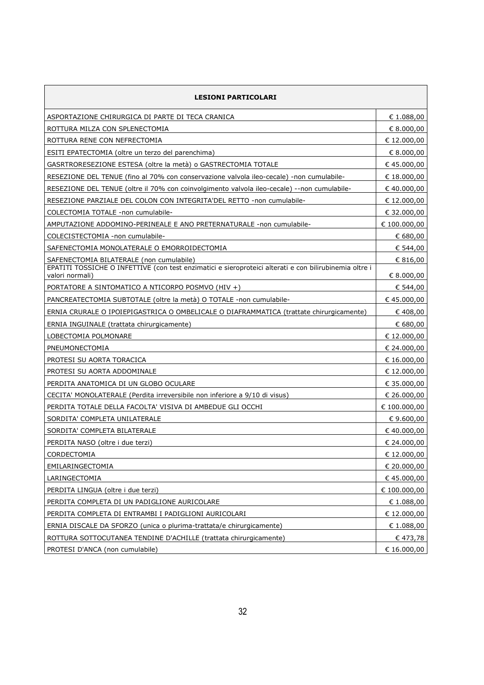| <b>LESIONI PARTICOLARI</b>                                                                                                |              |
|---------------------------------------------------------------------------------------------------------------------------|--------------|
| ASPORTAZIONE CHIRURGICA DI PARTE DI TECA CRANICA                                                                          | € 1.088,00   |
| ROTTURA MILZA CON SPLENECTOMIA                                                                                            | € 8.000,00   |
| ROTTURA RENE CON NEFRECTOMIA                                                                                              | € 12.000,00  |
| ESITI EPATECTOMIA (oltre un terzo del parenchima)                                                                         | € 8.000,00   |
| GASRTRORESEZIONE ESTESA (oltre la metà) o GASTRECTOMIA TOTALE                                                             | €45.000,00   |
| RESEZIONE DEL TENUE (fino al 70% con conservazione valvola ileo-cecale) -non cumulabile-                                  | € 18.000,00  |
| RESEZIONE DEL TENUE (oltre il 70% con coinvolgimento valvola ileo-cecale) --non cumulabile-                               | €40.000,00   |
| RESEZIONE PARZIALE DEL COLON CON INTEGRITA'DEL RETTO -non cumulabile-                                                     | € 12.000,00  |
| COLECTOMIA TOTALE -non cumulabile-                                                                                        | € 32.000,00  |
| AMPUTAZIONE ADDOMINO-PERINEALE E ANO PRETERNATURALE -non cumulabile-                                                      | € 100.000,00 |
| COLECISTECTOMIA -non cumulabile-                                                                                          | € 680,00     |
| SAFENECTOMIA MONOLATERALE O EMORROIDECTOMIA                                                                               | € 544,00     |
| SAFENECTOMIA BILATERALE (non cumulabile)                                                                                  | € 816,00     |
| EPATITI TOSSICHE O INFETTIVE (con test enzimatici e sieroproteici alterati e con bilirubinemia oltre i<br>valori normali) | € 8.000,00   |
| PORTATORE A SINTOMATICO A NTICORPO POSMVO (HIV +)                                                                         | € 544,00     |
| PANCREATECTOMIA SUBTOTALE (oltre la metà) O TOTALE -non cumulabile-                                                       | €45.000,00   |
| ERNIA CRURALE O IPOIEPIGASTRICA O OMBELICALE O DIAFRAMMATICA (trattate chirurgicamente)                                   | €408,00      |
| ERNIA INGUINALE (trattata chirurgicamente)                                                                                | € 680,00     |
| LOBECTOMIA POLMONARE                                                                                                      | € 12.000,00  |
| PNEUMONECTOMIA                                                                                                            | € 24.000,00  |
| PROTESI SU AORTA TORACICA                                                                                                 | € 16.000,00  |
| PROTESI SU AORTA ADDOMINALE                                                                                               | € 12.000,00  |
| PERDITA ANATOMICA DI UN GLOBO OCULARE                                                                                     | € 35.000,00  |
| CECITA' MONOLATERALE (Perdita irreversibile non inferiore a 9/10 di visus)                                                | € 26.000,00  |
| PERDITA TOTALE DELLA FACOLTA' VISIVA DI AMBEDUE GLI OCCHI                                                                 | € 100.000,00 |
| SORDITA' COMPLETA UNILATERALE                                                                                             | € 9.600,00   |
| SORDITA' COMPLETA BILATERALE                                                                                              | €40.000,00   |
| PERDITA NASO (oltre i due terzi)                                                                                          | € 24.000,00  |
| CORDECTOMIA                                                                                                               | € 12.000,00  |
| EMILARINGECTOMIA                                                                                                          | € 20.000,00  |
| LARINGECTOMIA                                                                                                             | €45.000,00   |
| PERDITA LINGUA (oltre i due terzi)                                                                                        | € 100.000,00 |
| PERDITA COMPLETA DI UN PADIGLIONE AURICOLARE                                                                              | € 1.088,00   |
| PERDITA COMPLETA DI ENTRAMBI I PADIGLIONI AURICOLARI                                                                      | € 12.000,00  |
| ERNIA DISCALE DA SFORZO (unica o plurima-trattata/e chirurgicamente)                                                      | € 1.088,00   |
| ROTTURA SOTTOCUTANEA TENDINE D'ACHILLE (trattata chirurgicamente)                                                         | € 473,78     |
| PROTESI D'ANCA (non cumulabile)                                                                                           | € 16.000,00  |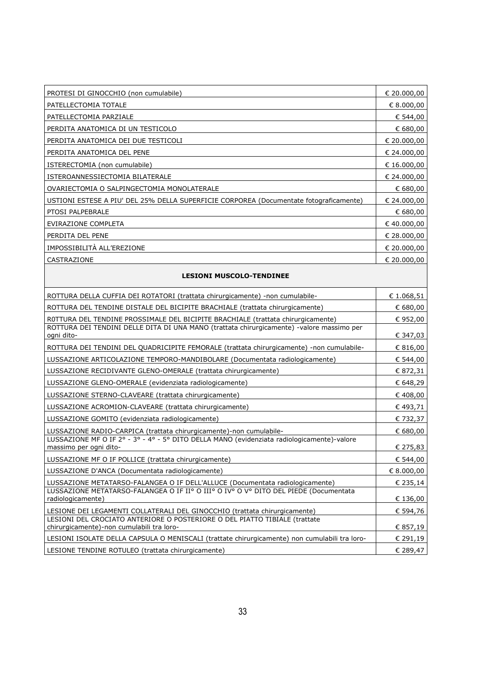| PROTESI DI GINOCCHIO (non cumulabile)                                                  | € 20.000,00   |
|----------------------------------------------------------------------------------------|---------------|
| PATELLECTOMIA TOTALE                                                                   | € 8.000,00    |
| PATELLECTOMIA PARZIALE                                                                 | € 544,00      |
| PERDITA ANATOMICA DI UN TESTICOLO                                                      | € 680,00      |
| PERDITA ANATOMICA DEI DUE TESTICOLI                                                    | € 20.000,00   |
| PERDITA ANATOMICA DEL PENE                                                             | € 24.000,00   |
| ISTERECTOMIA (non cumulabile)                                                          | € 16.000,00   |
| ISTEROANNESSIECTOMIA BILATERALE                                                        | € 24.000,00   |
| OVARIECTOMIA O SALPINGECTOMIA MONOLATERALE                                             | € 680,00      |
| USTIONI ESTESE A PIU' DEL 25% DELLA SUPERFICIE CORPOREA (Documentate fotograficamente) | € 24.000,00   |
| PTOSI PALPEBRALE                                                                       | € 680,00      |
| EVIRAZIONE COMPLETA                                                                    | € 40.000,00   |
| PERDITA DEL PENE                                                                       | € 28.000,00   |
| IMPOSSIBILITÀ ALL'EREZIONE                                                             | € 20.000,00   |
| CASTRAZIONE                                                                            | $E$ 20.000,00 |

#### **LESIONI MUSCOLO-TENDINEE**

| ROTTURA DELLA CUFFIA DEI ROTATORI (trattata chirurgicamente) -non cumulabile-                                           |            |  |
|-------------------------------------------------------------------------------------------------------------------------|------------|--|
| ROTTURA DEL TENDINE DISTALE DEL BICIPITE BRACHIALE (trattata chirurgicamente)                                           |            |  |
| ROTTURA DEL TENDINE PROSSIMALE DEL BICIPITE BRACHIALE (trattata chirurgicamente)                                        | € 952,00   |  |
| ROTTURA DEI TENDINI DELLE DITA DI UNA MANO (trattata chirurgicamente) -valore massimo per<br>ogni dito-                 | € 347,03   |  |
| ROTTURA DEI TENDINI DEL QUADRICIPITE FEMORALE (trattata chirurgicamente) -non cumulabile-                               | € 816,00   |  |
| LUSSAZIONE ARTICOLAZIONE TEMPORO-MANDIBOLARE (Documentata radiologicamente)                                             | € 544,00   |  |
| LUSSAZIONE RECIDIVANTE GLENO-OMERALE (trattata chirurgicamente)                                                         | € 872,31   |  |
| LUSSAZIONE GLENO-OMERALE (evidenziata radiologicamente)                                                                 | € 648,29   |  |
| LUSSAZIONE STERNO-CLAVEARE (trattata chirurgicamente)                                                                   | €408,00    |  |
| LUSSAZIONE ACROMION-CLAVEARE (trattata chirurgicamente)                                                                 | € 493,71   |  |
| LUSSAZIONE GOMITO (evidenziata radiologicamente)                                                                        | € 732,37   |  |
| LUSSAZIONE RADIO-CARPICA (trattata chirurgicamente)-non cumulabile-                                                     | € 680,00   |  |
| LUSSAZIONE MF O IF 2º - 3º - 4º - 5º DITO DELLA MANO (evidenziata radiologicamente)-valore<br>massimo per ogni dito-    | € 275,83   |  |
| LUSSAZIONE MF O IF POLLICE (trattata chirurgicamente)                                                                   | € 544,00   |  |
| LUSSAZIONE D'ANCA (Documentata radiologicamente)                                                                        | € 8.000,00 |  |
| LUSSAZIONE METATARSO-FALANGEA O IF DELL'ALLUCE (Documentata radiologicamente)                                           | € 235,14   |  |
| LUSSAZIONE METATARSO-FALANGEA O IF IIº O IIIº O IVº O Vº DITO DEL PIEDE (Documentata<br>radiologicamente)               | € 136,00   |  |
| LESIONE DEI LEGAMENTI COLLATERALI DEL GINOCCHIO (trattata chirurgicamente)                                              | € 594,76   |  |
| LESIONI DEL CROCIATO ANTERIORE O POSTERIORE O DEL PIATTO TIBIALE (trattate<br>chirurgicamente)-non cumulabili tra loro- | € 857,19   |  |
| LESIONI ISOLATE DELLA CAPSULA O MENISCALI (trattate chirurgicamente) non cumulabili tra loro-                           | € 291,19   |  |
| LESIONE TENDINE ROTULEO (trattata chirurgicamente)                                                                      | € 289,47   |  |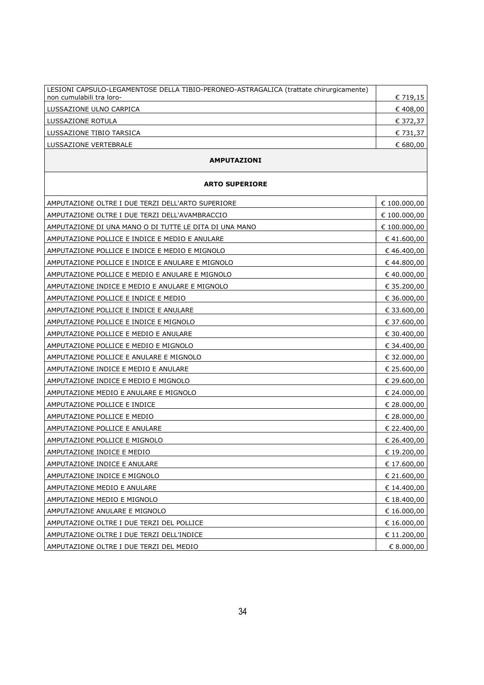| LESIONI CAPSULO-LEGAMENTOSE DELLA TIBIO-PERONEO-ASTRAGALICA (trattate chirurgicamente)<br>non cumulabili tra loro- | € 719,15 |
|--------------------------------------------------------------------------------------------------------------------|----------|
| LUSSAZIONE ULNO CARPICA                                                                                            | € 408,00 |
| LUSSAZIONE ROTULA                                                                                                  | € 372,37 |
| LUSSAZIONE TIBIO TARSICA                                                                                           | € 731,37 |
| LUSSAZIONE VERTEBRALE                                                                                              | € 680.00 |
|                                                                                                                    |          |

#### **AMPUTAZIONI**

| <b>ARTO SUPERIORE</b>                                  |              |  |
|--------------------------------------------------------|--------------|--|
| AMPUTAZIONE OLTRE I DUE TERZI DELL'ARTO SUPERIORE      | € 100.000,00 |  |
| AMPUTAZIONE OLTRE I DUE TERZI DELL'AVAMBRACCIO         | € 100.000,00 |  |
| AMPUTAZIONE DI UNA MANO O DI TUTTE LE DITA DI UNA MANO | € 100.000,00 |  |
| AMPUTAZIONE POLLICE E INDICE E MEDIO E ANULARE         | €41.600,00   |  |
| AMPUTAZIONE POLLICE E INDICE E MEDIO E MIGNOLO         | €46.400,00   |  |
| AMPUTAZIONE POLLICE E INDICE E ANULARE E MIGNOLO       | €44.800,00   |  |
| AMPUTAZIONE POLLICE E MEDIO E ANULARE E MIGNOLO        | € 40.000,00  |  |
| AMPUTAZIONE INDICE E MEDIO E ANULARE E MIGNOLO         | € 35.200,00  |  |
| AMPUTAZIONE POLLICE E INDICE E MEDIO                   | € 36.000,00  |  |
| AMPUTAZIONE POLLICE E INDICE E ANULARE                 | € 33.600,00  |  |
| AMPUTAZIONE POLLICE E INDICE E MIGNOLO                 | € 37.600,00  |  |
| AMPUTAZIONE POLLICE E MEDIO E ANULARE                  | € 30.400,00  |  |
| AMPUTAZIONE POLLICE E MEDIO E MIGNOLO                  | € 34.400,00  |  |
| AMPUTAZIONE POLLICE E ANULARE E MIGNOLO                | € 32.000,00  |  |
| AMPUTAZIONE INDICE E MEDIO E ANULARE                   | € 25.600,00  |  |
| AMPUTAZIONE INDICE E MEDIO E MIGNOLO                   | € 29.600,00  |  |
| AMPUTAZIONE MEDIO E ANULARE E MIGNOLO                  | € 24.000,00  |  |
| AMPUTAZIONE POLLICE E INDICE                           | € 28.000,00  |  |
| AMPUTAZIONE POLLICE E MEDIO                            | € 28.000,00  |  |
| AMPUTAZIONE POLLICE E ANULARE                          | € 22.400,00  |  |
| AMPUTAZIONE POLLICE E MIGNOLO                          | € 26.400,00  |  |
| AMPUTAZIONE INDICE E MEDIO                             | € 19.200,00  |  |
| AMPUTAZIONE INDICE E ANULARE                           | € 17.600,00  |  |
| AMPUTAZIONE INDICE E MIGNOLO                           | € 21.600,00  |  |
| AMPUTAZIONE MEDIO E ANULARE                            | € 14.400,00  |  |
| AMPUTAZIONE MEDIO E MIGNOLO                            | € 18.400,00  |  |
| AMPUTAZIONE ANULARE E MIGNOLO                          | € 16.000,00  |  |
| AMPUTAZIONE OLTRE I DUE TERZI DEL POLLICE              | € 16.000,00  |  |
| AMPUTAZIONE OLTRE I DUE TERZI DELL'INDICE              | € 11.200,00  |  |
| AMPUTAZIONE OLTRE I DUE TERZI DEL MEDIO                | € 8.000,00   |  |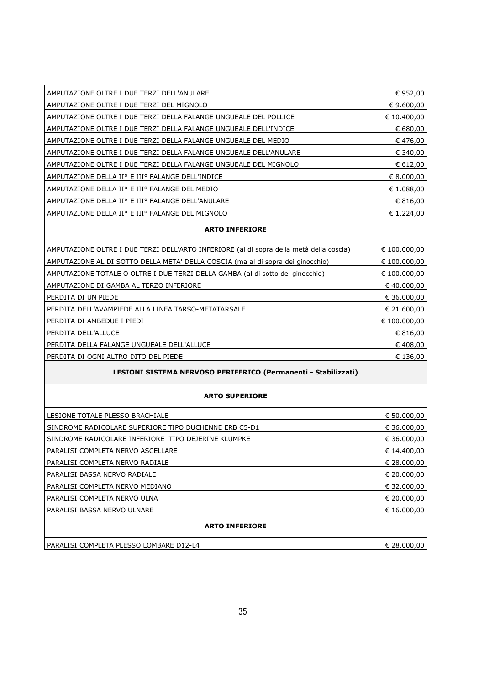| AMPUTAZIONE OLTRE I DUE TERZI DELL'ANULARE                        | € 952,00    |
|-------------------------------------------------------------------|-------------|
| AMPUTAZIONE OLTRE I DUE TERZI DEL MIGNOLO                         | € 9.600,00  |
| AMPUTAZIONE OLTRE I DUE TERZI DELLA FALANGE UNGUEALE DEL POLLICE  | € 10.400,00 |
| AMPUTAZIONE OLTRE I DUE TERZI DELLA FALANGE UNGUEALE DELL'INDICE  | € 680,00    |
| AMPUTAZIONE OLTRE I DUE TERZI DELLA FALANGE UNGUEALE DEL MEDIO    | €476,00     |
| AMPUTAZIONE OLTRE I DUE TERZI DELLA FALANGE UNGUEALE DELL'ANULARE | € 340,00    |
| AMPUTAZIONE OLTRE I DUE TERZI DELLA FALANGE UNGUEALE DEL MIGNOLO  | € 612,00    |
| AMPUTAZIONE DELLA IIº E IIIº FALANGE DELL'INDICE                  | € 8.000,00  |
| AMPUTAZIONE DELLA IIº E IIIº FALANGE DEL MEDIO                    | € 1.088,00  |
| AMPUTAZIONE DELLA IIº E IIIº FALANGE DELL'ANULARE                 | € 816,00    |
| AMPUTAZIONE DELLA IIº E IIIº FALANGE DEL MIGNOLO                  | € 1.224.00  |
|                                                                   |             |

#### **ARTO INFERIORE**

| AMPUTAZIONE OLTRE I DUE TERZI DELL'ARTO INFERIORE (al di sopra della metà della coscia) | € 100.000,00 |
|-----------------------------------------------------------------------------------------|--------------|
| AMPUTAZIONE AL DI SOTTO DELLA META' DELLA COSCIA (ma al di sopra dei ginocchio)         | € 100.000,00 |
| AMPUTAZIONE TOTALE O OLTRE I DUE TERZI DELLA GAMBA (al di sotto dei ginocchio)          | € 100.000,00 |
| AMPUTAZIONE DI GAMBA AL TERZO INFERIORE                                                 | € 40.000,00  |
| PERDITA DI UN PIEDE                                                                     | € 36.000,00  |
| PERDITA DELL'AVAMPIEDE ALLA LINEA TARSO-METATARSALE                                     | € 21.600,00  |
| PERDITA DI AMBEDUE I PIEDI                                                              | € 100.000,00 |
| PERDITA DELL'ALLUCE                                                                     | € 816,00     |
| PERDITA DELLA FALANGE UNGUEALE DELL'ALLUCE                                              | € 408,00     |
| PERDITA DI OGNI ALTRO DITO DEL PIEDE                                                    | € 136,00     |
|                                                                                         |              |

#### **LESIONI SISTEMA NERVOSO PERIFERICO (Permanenti - Stabilizzati)**

#### **ARTO SUPERIORE**

| LESIONE TOTALE PLESSO BRACHIALE                       | € 50.000,00 |  |
|-------------------------------------------------------|-------------|--|
| SINDROME RADICOLARE SUPERIORE TIPO DUCHENNE ERB C5-D1 | € 36.000,00 |  |
| SINDROME RADICOLARE INFERIORE TIPO DEJERINE KLUMPKE   | € 36.000,00 |  |
| PARALISI COMPLETA NERVO ASCELLARE                     | € 14.400,00 |  |
| PARALISI COMPLETA NERVO RADIALE                       | € 28.000,00 |  |
| l PARALISI BASSA NERVO RADIALE                        | € 20.000,00 |  |
| I PARALISI COMPLETA NERVO MEDIANO                     | € 32.000,00 |  |
| PARALISI COMPLETA NERVO ULNA                          | € 20,000,00 |  |
| l PARALISI BASSA NERVO ULNARE                         | € 16.000.00 |  |
| <b>ARTO INFERIORE</b>                                 |             |  |

PARALISI COMPLETA PLESSO LOMBARE D12-L4 <del>€ 28.000,00</del>